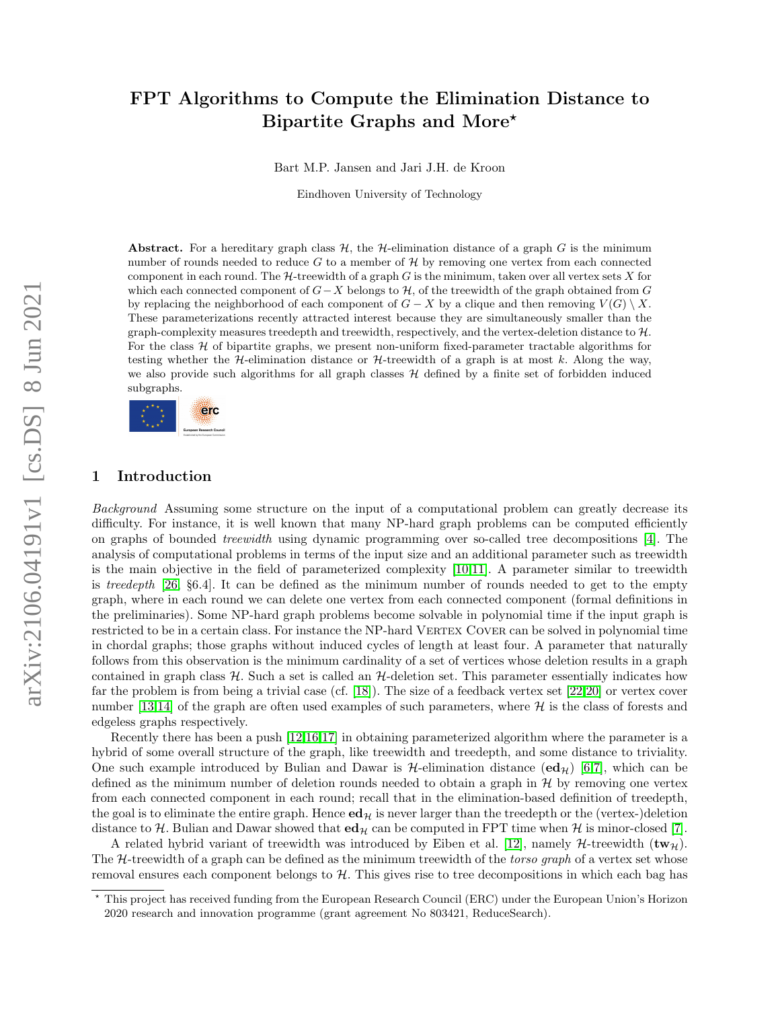# FPT Algorithms to Compute the Elimination Distance to Bipartite Graphs and More?

Bart M.P. Jansen and Jari J.H. de Kroon

Eindhoven University of Technology

Abstract. For a hereditary graph class  $H$ , the H-elimination distance of a graph G is the minimum number of rounds needed to reduce G to a member of  $H$  by removing one vertex from each connected component in each round. The  $H$ -treewidth of a graph G is the minimum, taken over all vertex sets X for which each connected component of  $G-X$  belongs to  $\mathcal{H}$ , of the treewidth of the graph obtained from G by replacing the neighborhood of each component of  $G - X$  by a clique and then removing  $V(G) \setminus X$ . These parameterizations recently attracted interest because they are simultaneously smaller than the graph-complexity measures treedepth and treewidth, respectively, and the vertex-deletion distance to  $H$ . For the class  $H$  of bipartite graphs, we present non-uniform fixed-parameter tractable algorithms for testing whether the H-elimination distance or H-treewidth of a graph is at most k. Along the way, we also provide such algorithms for all graph classes  $H$  defined by a finite set of forbidden induced subgraphs.



# 1 Introduction

Background Assuming some structure on the input of a computational problem can greatly decrease its difficulty. For instance, it is well known that many NP-hard graph problems can be computed efficiently on graphs of bounded treewidth using dynamic programming over so-called tree decompositions [\[4\]](#page-10-0). The analysis of computational problems in terms of the input size and an additional parameter such as treewidth is the main objective in the field of parameterized complexity [\[10,](#page-11-0)[11\]](#page-11-1). A parameter similar to treewidth is treedepth [\[26,](#page-12-0) §6.4]. It can be defined as the minimum number of rounds needed to get to the empty graph, where in each round we can delete one vertex from each connected component (formal definitions in the preliminaries). Some NP-hard graph problems become solvable in polynomial time if the input graph is restricted to be in a certain class. For instance the NP-hard VERTEX COVER can be solved in polynomial time in chordal graphs; those graphs without induced cycles of length at least four. A parameter that naturally follows from this observation is the minimum cardinality of a set of vertices whose deletion results in a graph contained in graph class  $H$ . Such a set is called an  $H$ -deletion set. This parameter essentially indicates how far the problem is from being a trivial case (cf. [\[18\]](#page-11-2)). The size of a feedback vertex set [\[22,](#page-11-3)[20\]](#page-11-4) or vertex cover number [\[13,](#page-11-5)[14\]](#page-11-6) of the graph are often used examples of such parameters, where  $\mathcal{H}$  is the class of forests and edgeless graphs respectively.

Recently there has been a push [\[12](#page-11-7)[,16,](#page-11-8)[17\]](#page-11-9) in obtaining parameterized algorithm where the parameter is a hybrid of some overall structure of the graph, like treewidth and treedepth, and some distance to triviality. One such example introduced by Bulian and Dawar is  $H$ -elimination distance  $(\mathbf{ed}_{\mathcal{H}})$  [\[6](#page-10-1)[,7\]](#page-10-2), which can be defined as the minimum number of deletion rounds needed to obtain a graph in  $H$  by removing one vertex from each connected component in each round; recall that in the elimination-based definition of treedepth, the goal is to eliminate the entire graph. Hence  $ed_{\mathcal{H}}$  is never larger than the treedepth or the (vertex-)deletion distance to H. Bulian and Dawar showed that  $ed_{\mathcal{H}}$  can be computed in FPT time when H is minor-closed [\[7\]](#page-10-2).

A related hybrid variant of treewidth was introduced by Eiben et al. [\[12\]](#page-11-7), namely  $\mathcal{H}\text{-trewidth }(\mathbf{tw}_{\mathcal{H}})$ . The  $H$ -treewidth of a graph can be defined as the minimum treewidth of the *torso graph* of a vertex set whose removal ensures each component belongs to H. This gives rise to tree decompositions in which each bag has

<sup>?</sup> This project has received funding from the European Research Council (ERC) under the European Union's Horizon 2020 research and innovation programme (grant agreement No 803421, ReduceSearch).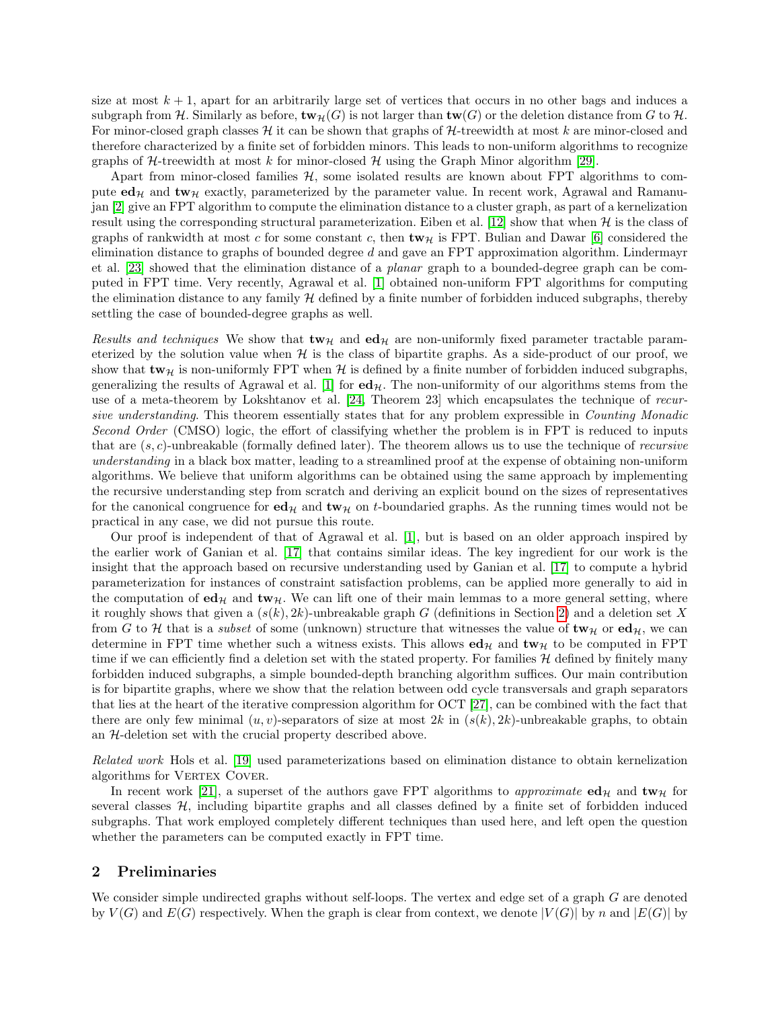size at most  $k + 1$ , apart for an arbitrarily large set of vertices that occurs in no other bags and induces a subgraph from H. Similarly as before,  $\mathbf{tw}_{\mathcal{H}}(G)$  is not larger than  $\mathbf{tw}(G)$  or the deletion distance from G to H. For minor-closed graph classes  $\mathcal H$  it can be shown that graphs of  $\mathcal H$ -treewidth at most k are minor-closed and therefore characterized by a finite set of forbidden minors. This leads to non-uniform algorithms to recognize graphs of  $H$ -treewidth at most k for minor-closed  $H$  using the Graph Minor algorithm [\[29\]](#page-12-1).

Apart from minor-closed families  $H$ , some isolated results are known about FPT algorithms to compute  $ed_{\mathcal{H}}$  and  $tw_{\mathcal{H}}$  exactly, parameterized by the parameter value. In recent work, Agrawal and Ramanujan [\[2\]](#page-10-3) give an FPT algorithm to compute the elimination distance to a cluster graph, as part of a kernelization result using the corresponding structural parameterization. Eiben et al. [\[12\]](#page-11-7) show that when  $\mathcal{H}$  is the class of graphs of rankwidth at most c for some constant c, then  $\mathbf{tw}_{\mathcal{H}}$  is FPT. Bulian and Dawar [\[6\]](#page-10-1) considered the elimination distance to graphs of bounded degree  $d$  and gave an FPT approximation algorithm. Lindermayr et al. [\[23\]](#page-11-10) showed that the elimination distance of a planar graph to a bounded-degree graph can be computed in FPT time. Very recently, Agrawal et al. [\[1\]](#page-10-4) obtained non-uniform FPT algorithms for computing the elimination distance to any family  $H$  defined by a finite number of forbidden induced subgraphs, thereby settling the case of bounded-degree graphs as well.

Results and techniques We show that  $\mathbf{tw}_{\mathcal{H}}$  and  $\mathbf{ed}_{\mathcal{H}}$  are non-uniformly fixed parameter tractable parameterized by the solution value when  $H$  is the class of bipartite graphs. As a side-product of our proof, we show that  $\mathbf{tw}_{\mathcal{H}}$  is non-uniformly FPT when H is defined by a finite number of forbidden induced subgraphs, generalizing the results of Agrawal et al. [\[1\]](#page-10-4) for  $ed_{\mathcal{H}}$ . The non-uniformity of our algorithms stems from the use of a meta-theorem by Lokshtanov et al. [\[24,](#page-11-11) Theorem 23] which encapsulates the technique of recursive understanding. This theorem essentially states that for any problem expressible in Counting Monadic Second Order (CMSO) logic, the effort of classifying whether the problem is in FPT is reduced to inputs that are  $(s, c)$ -unbreakable (formally defined later). The theorem allows us to use the technique of *recursive* understanding in a black box matter, leading to a streamlined proof at the expense of obtaining non-uniform algorithms. We believe that uniform algorithms can be obtained using the same approach by implementing the recursive understanding step from scratch and deriving an explicit bound on the sizes of representatives for the canonical congruence for  $\mathbf{ed}_{\mathcal{H}}$  and  $\mathbf{tw}_{\mathcal{H}}$  on t-boundaried graphs. As the running times would not be practical in any case, we did not pursue this route.

Our proof is independent of that of Agrawal et al. [\[1\]](#page-10-4), but is based on an older approach inspired by the earlier work of Ganian et al. [\[17\]](#page-11-9) that contains similar ideas. The key ingredient for our work is the insight that the approach based on recursive understanding used by Ganian et al. [\[17\]](#page-11-9) to compute a hybrid parameterization for instances of constraint satisfaction problems, can be applied more generally to aid in the computation of  $ed_{\mathcal{H}}$  and  $tw_{\mathcal{H}}$ . We can lift one of their main lemmas to a more general setting, where it roughly shows that given a  $(s(k), 2k)$ -unbreakable graph G (definitions in Section [2\)](#page-1-0) and a deletion set X from G to H that is a *subset* of some (unknown) structure that witnesses the value of  $\mathbf{tw}_{\mathcal{H}}$  or  $\mathbf{ed}_{\mathcal{H}}$ , we can determine in FPT time whether such a witness exists. This allows  $ed_{\mathcal{H}}$  and  $tw_{\mathcal{H}}$  to be computed in FPT time if we can efficiently find a deletion set with the stated property. For families  $H$  defined by finitely many forbidden induced subgraphs, a simple bounded-depth branching algorithm suffices. Our main contribution is for bipartite graphs, where we show that the relation between odd cycle transversals and graph separators that lies at the heart of the iterative compression algorithm for OCT [\[27\]](#page-12-2), can be combined with the fact that there are only few minimal  $(u, v)$ -separators of size at most  $2k$  in  $(s(k), 2k)$ -unbreakable graphs, to obtain an H-deletion set with the crucial property described above.

Related work Hols et al. [\[19\]](#page-11-12) used parameterizations based on elimination distance to obtain kernelization algorithms for VERTEX COVER.

In recent work [\[21\]](#page-11-13), a superset of the authors gave FPT algorithms to *approximate*  $ed_{\mathcal{H}}$  and  $tw_{\mathcal{H}}$  for several classes  $H$ , including bipartite graphs and all classes defined by a finite set of forbidden induced subgraphs. That work employed completely different techniques than used here, and left open the question whether the parameters can be computed exactly in FPT time.

## <span id="page-1-0"></span>2 Preliminaries

We consider simple undirected graphs without self-loops. The vertex and edge set of a graph G are denoted by  $V(G)$  and  $E(G)$  respectively. When the graph is clear from context, we denote  $|V(G)|$  by n and  $|E(G)|$  by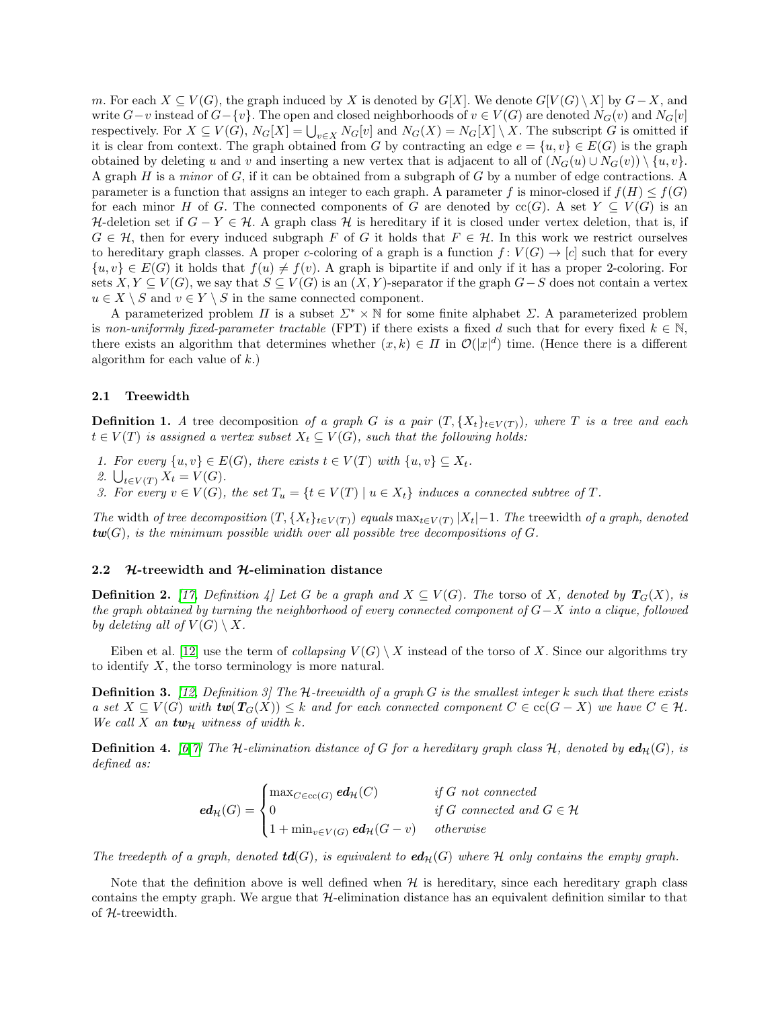m. For each  $X \subseteq V(G)$ , the graph induced by X is denoted by G[X]. We denote  $G[V(G) \setminus X]$  by  $G-X$ , and write  $G-v$  instead of  $G-\{v\}$ . The open and closed neighborhoods of  $v \in V(G)$  are denoted  $N_G(v)$  and  $N_G[v]$ respectively. For  $X \subseteq V(G)$ ,  $N_G[X] = \bigcup_{v \in X} N_G[v]$  and  $N_G(X) = N_G[X] \setminus X$ . The subscript G is omitted if it is clear from context. The graph obtained from G by contracting an edge  $e = \{u, v\} \in E(G)$  is the graph obtained by deleting u and v and inserting a new vertex that is adjacent to all of  $(N_G(u) \cup N_G(v)) \setminus \{u, v\}.$ A graph  $H$  is a minor of  $G$ , if it can be obtained from a subgraph of  $G$  by a number of edge contractions. A parameter is a function that assigns an integer to each graph. A parameter f is minor-closed if  $f(H) \leq f(G)$ for each minor H of G. The connected components of G are denoted by  $\operatorname{cc}(G)$ . A set  $Y \subseteq V(G)$  is an H-deletion set if  $G - Y \in \mathcal{H}$ . A graph class H is hereditary if it is closed under vertex deletion, that is, if  $G \in \mathcal{H}$ , then for every induced subgraph F of G it holds that  $F \in \mathcal{H}$ . In this work we restrict ourselves to hereditary graph classes. A proper c-coloring of a graph is a function  $f: V(G) \to [c]$  such that for every  $\{u, v\} \in E(G)$  it holds that  $f(u) \neq f(v)$ . A graph is bipartite if and only if it has a proper 2-coloring. For sets  $X, Y \subseteq V(G)$ , we say that  $S \subseteq V(G)$  is an  $(X, Y)$ -separator if the graph  $G-S$  does not contain a vertex  $u \in X \setminus S$  and  $v \in Y \setminus S$  in the same connected component.

A parameterized problem  $\Pi$  is a subset  $\Sigma^* \times \mathbb{N}$  for some finite alphabet  $\Sigma$ . A parameterized problem is non-uniformly fixed-parameter tractable (FPT) if there exists a fixed d such that for every fixed  $k \in \mathbb{N}$ , there exists an algorithm that determines whether  $(x, k) \in \Pi$  in  $\mathcal{O}(|x|^d)$  time. (Hence there is a different algorithm for each value of  $k$ .)

#### 2.1 Treewidth

**Definition 1.** A tree decomposition of a graph G is a pair  $(T, \{X_t\}_{t\in V(T)})$ , where T is a tree and each  $t \in V(T)$  is assigned a vertex subset  $X_t \subseteq V(G)$ , such that the following holds:

- 1. For every  $\{u, v\} \in E(G)$ , there exists  $t \in V(T)$  with  $\{u, v\} \subseteq X_t$ .
- 2.  $\bigcup_{t \in V(T)} X_t = V(G)$ .
- 3. For every  $v \in V(G)$ , the set  $T_u = \{t \in V(T) \mid u \in X_t\}$  induces a connected subtree of T.

The width of tree decomposition  $(T, \{X_t\}_{t\in V(T)})$  equals  $\max_{t\in V(T)} |X_t| - 1$ . The treewidth of a graph, denoted  $tw(G)$ , is the minimum possible width over all possible tree decompositions of G.

#### 2.2  $\mathcal{H}\text{-treewidth}$  and  $\mathcal{H}\text{-elimination distance}$

**Definition 2.** [\[17,](#page-11-9) Definition 4] Let G be a graph and  $X \subseteq V(G)$ . The torso of X, denoted by  $T_G(X)$ , is the graph obtained by turning the neighborhood of every connected component of  $G-X$  into a clique, followed by deleting all of  $V(G) \setminus X$ .

Eiben et al. [\[12\]](#page-11-7) use the term of collapsing  $V(G) \setminus X$  instead of the torso of X. Since our algorithms try to identify  $X$ , the torso terminology is more natural.

**Definition 3.** [\[12,](#page-11-7) Definition 3] The H-treewidth of a graph G is the smallest integer k such that there exists a set  $X \subseteq V(G)$  with  $tw(T_G(X)) \leq k$  and for each connected component  $C \in cc(G - X)$  we have  $C \in \mathcal{H}$ . We call X an  $tw_{\mathcal{H}}$  witness of width k.

<span id="page-2-0"></span>**Definition 4.** [\[6,](#page-10-1)[7\]](#page-10-2) The H-elimination distance of G for a hereditary graph class H, denoted by  $ed_H(G)$ , is defined as:

$$
\mathbf{ed}_{\mathcal{H}}(G) = \begin{cases} \max_{C \in \text{cc}(G)} \mathbf{ed}_{\mathcal{H}}(C) & \text{if } G \text{ not connected} \\ 0 & \text{if } G \text{ connected and } G \in \mathcal{H} \\ 1 + \min_{v \in V(G)} \mathbf{ed}_{\mathcal{H}}(G - v) & \text{otherwise} \end{cases}
$$

The treedepth of a graph, denoted  $td(G)$ , is equivalent to  $ed_{\mathcal{H}}(G)$  where H only contains the empty graph.

Note that the definition above is well defined when  $H$  is hereditary, since each hereditary graph class contains the empty graph. We argue that  $H$ -elimination distance has an equivalent definition similar to that of  $H$ -treewidth.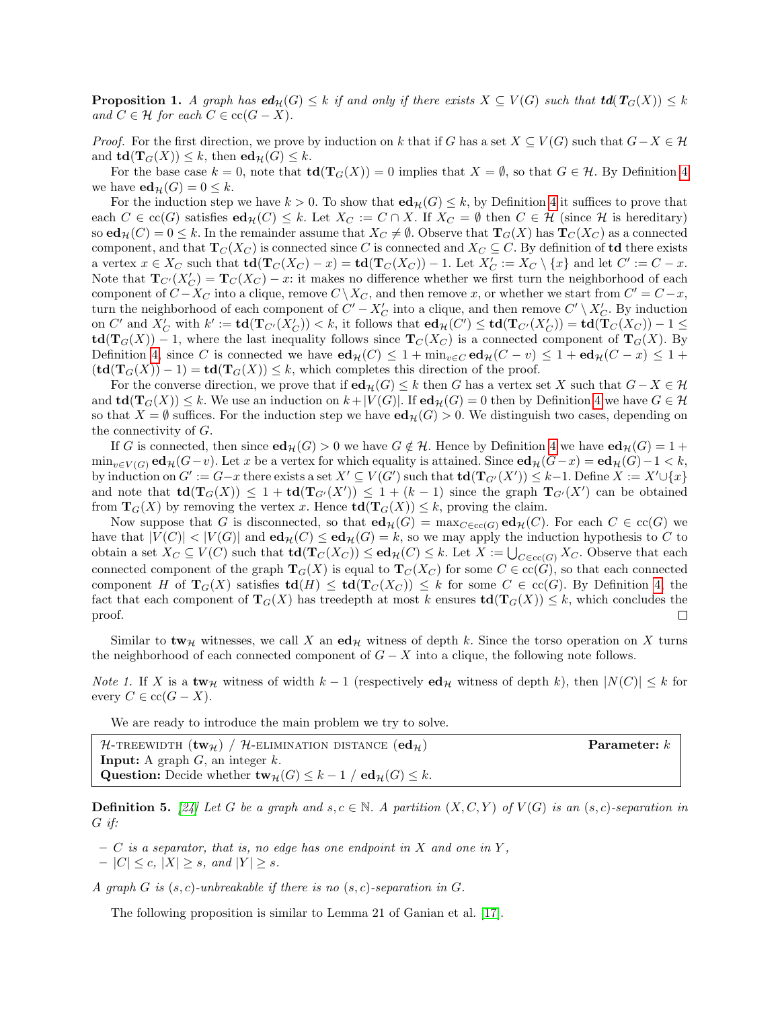**Proposition 1.** A graph has  $ed_H(G) \leq k$  if and only if there exists  $X \subseteq V(G)$  such that  $td(T_G(X)) \leq k$ and  $C \in \mathcal{H}$  for each  $C \in \text{cc}(G - X)$ .

*Proof.* For the first direction, we prove by induction on k that if G has a set  $X \subseteq V(G)$  such that  $G-X \in H$ and  $\mathbf{td}(\mathbf{T}_G(X)) \leq k$ , then  $\mathbf{ed}_{\mathcal{H}}(G) \leq k$ .

For the base case  $k = 0$ , note that  $\mathbf{td}(\mathbf{T}_G(X)) = 0$  implies that  $X = \emptyset$ , so that  $G \in \mathcal{H}$ . By Definition [4](#page-2-0) we have  $ed_{\mathcal{H}}(G) = 0 \leq k$ .

For the induction step we have  $k > 0$ . To show that  $ed_{\mathcal{H}}(G) \leq k$ , by Definition [4](#page-2-0) it suffices to prove that each  $C \in \operatorname{cc}(G)$  satisfies  $ed_{\mathcal{H}}(C) \leq k$ . Let  $X_C := C \cap X$ . If  $X_C = \emptyset$  then  $C \in \mathcal{H}$  (since  $\mathcal{H}$  is hereditary) so  $ed_{\mathcal{H}}(C) = 0 \leq k$ . In the remainder assume that  $X_C \neq \emptyset$ . Observe that  $\mathbf{T}_G(X)$  has  $\mathbf{T}_C(X_C)$  as a connected component, and that  $T_C(X_C)$  is connected since C is connected and  $X_C \subseteq C$ . By definition of **td** there exists a vertex  $x \in X_C$  such that  $\text{td}(\textbf{T}_C(X_C) - x) = \text{td}(\textbf{T}_C(X_C)) - 1$ . Let  $X'_C := X_C \setminus \{x\}$  and let  $C' := C - x$ . Note that  $\mathbf{T}_{C'}(X'_{C}) = \mathbf{T}_{C}(X_{C}) - x$ : it makes no difference whether we first turn the neighborhood of each component of  $C - X_C$  into a clique, remove  $C \setminus X_C$ , and then remove x, or whether we start from  $C' = C - x$ , turn the neighborhood of each component of  $C' - X_C'$  into a clique, and then remove  $C' \setminus X_C'$ . By induction on C' and  $X'_C$  with  $k' := \mathbf{td}(\mathbf{T}_{C'}(X'_C)) < k$ , it follows that  $\mathbf{ed}_{\mathcal{H}}(C') \leq \mathbf{td}(\mathbf{T}_{C'}(X'_C)) = \mathbf{td}(\mathbf{T}_C(X_C)) - 1 \leq$  $\text{td}(\textbf{T}_{G}(X)) - 1$ , where the last inequality follows since  $\textbf{T}_{C}(X_C)$  is a connected component of  $\textbf{T}_{G}(X)$ . By Definition [4,](#page-2-0) since C is connected we have  $ed_{\mathcal{H}}(C) \leq 1 + \min_{v \in C} ed_{\mathcal{H}}(C - v) \leq 1 + ed_{\mathcal{H}}(C - x) \leq 1 +$  $(\mathbf{td}(\mathbf{T}_G(X)) - 1) = \mathbf{td}(\mathbf{T}_G(X)) \leq k$ , which completes this direction of the proof.

For the converse direction, we prove that if  $ed_{\mathcal{H}}(G) \leq k$  then G has a vertex set X such that  $G - X \in \mathcal{H}$ and  $\text{td}(\textbf{T}_{G}(X)) \leq k$ . We use an induction on  $k + |V(G)|$ . If  $\text{ed}_{\mathcal{H}}(G) = 0$  then by Definition [4](#page-2-0) we have  $G \in \mathcal{H}$ so that  $X = \emptyset$  suffices. For the induction step we have  $ed_{\mathcal{H}}(G) > 0$ . We distinguish two cases, depending on the connectivity of G.

If G is connected, then since  $ed_{\mathcal{H}}(G) > 0$  we have  $G \notin \mathcal{H}$ . Hence by Definition [4](#page-2-0) we have  $ed_{\mathcal{H}}(G) = 1 +$  $\min_{v \in V(G)} \mathbf{ed}_{\mathcal{H}}(G-v)$ . Let x be a vertex for which equality is attained. Since  $\mathbf{ed}_{\mathcal{H}}(G-v) = \mathbf{ed}_{\mathcal{H}}(G)-1 < k$ , by induction on  $G' := G - x$  there exists a set  $X' \subseteq V(G')$  such that  $\text{td}(\textbf{T}_{G'}(X')) \leq k-1$ . Define  $X := X' \cup \{x\}$ and note that  $td(\mathbf{T}_G(X)) \leq 1 + td(\mathbf{T}_{G'}(X')) \leq 1 + (k-1)$  since the graph  $\mathbf{T}_{G'}(X')$  can be obtained from  $\mathbf{T}_G(X)$  by removing the vertex x. Hence  $\mathbf{td}(\mathbf{T}_G(X)) \leq k$ , proving the claim.

Now suppose that G is disconnected, so that  $ed_{\mathcal{H}}(G) = \max_{C \in \text{cc}(G)} ed_{\mathcal{H}}(C)$ . For each  $C \in \text{cc}(G)$  we have that  $|V(C)| < |V(G)|$  and  $ed_{\mathcal{H}}(C) \le ed_{\mathcal{H}}(G) = k$ , so we may apply the induction hypothesis to C to obtain a set  $X_C \subseteq V(C)$  such that  $td(\mathbf{T}_C(X_C)) \le ed_{\mathcal{H}}(C) \le k$ . Let  $X := \bigcup_{C \in cc(G)} X_C$ . Observe that each connected component of the graph  $T_G(X)$  is equal to  $T_C(X_C)$  for some  $C \in \text{cc}(G)$ , so that each connected component H of  $T_G(X)$  satisfies  $td(H) \leq td(T_C(X_C)) \leq k$  for some  $C \in cc(G)$ . By Definition [4,](#page-2-0) the fact that each component of  $\mathbf{T}_G(X)$  has treedepth at most k ensures  $\mathbf{td}(\mathbf{T}_G(X)) \leq k$ , which concludes the proof.  $\Box$ 

Similar to tw<sub>H</sub> witnesses, we call X an ed<sub>H</sub> witness of depth k. Since the torso operation on X turns the neighborhood of each connected component of  $G - X$  into a clique, the following note follows.

<span id="page-3-0"></span>*Note 1.* If X is a tw<sub>H</sub> witness of width  $k-1$  (respectively ed<sub>H</sub> witness of depth k), then  $|N(C)| \leq k$  for every  $C \in \operatorname{cc}(G - X)$ .

We are ready to introduce the main problem we try to solve.

| $\mathcal{H}\text{-rnewight}(\mathbf{tw}_{\mathcal{H}})$ / $\mathcal{H}\text{-ELIMINATION DISTANCE}(\mathbf{ed}_{\mathcal{H}})$ | $\textbf{Parameter: } k$ |
|---------------------------------------------------------------------------------------------------------------------------------|--------------------------|
| <b>Input:</b> A graph $G$ , an integer $k$ .                                                                                    |                          |
| <b>Question:</b> Decide whether $\mathbf{tw}_{\mathcal{H}}(G) \leq k - 1 / \mathbf{ed}_{\mathcal{H}}(G) \leq k$ .               |                          |

**Definition 5.** [\[24\]](#page-11-11) Let G be a graph and  $s, c \in \mathbb{N}$ . A partition  $(X, C, Y)$  of  $V(G)$  is an  $(s, c)$ -separation in G if:

 $-$  C is a separator, that is, no edge has one endpoint in X and one in Y,

 $-|C| \leq c, |X| \geq s, \text{ and } |Y| \geq s.$ 

A graph G is  $(s, c)$ -unbreakable if there is no  $(s, c)$ -separation in G.

<span id="page-3-1"></span>The following proposition is similar to Lemma 21 of Ganian et al. [\[17\]](#page-11-9).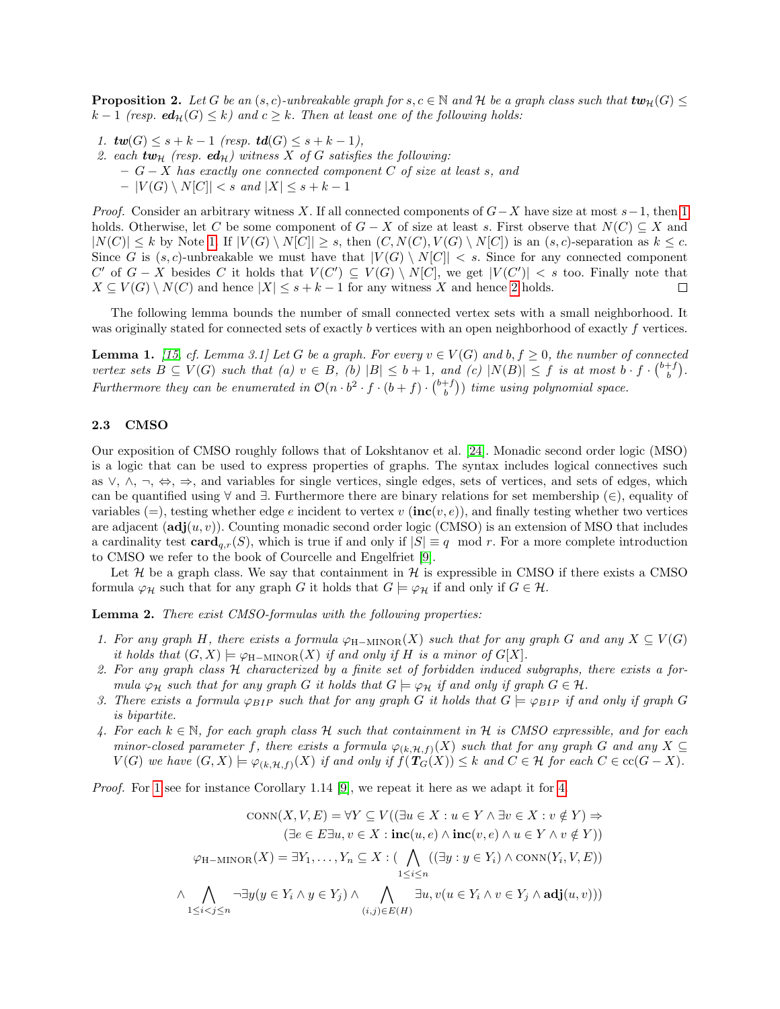**Proposition 2.** Let G be an (s, c)-unbreakable graph for  $s, c \in \mathbb{N}$  and H be a graph class such that  $tw_{\mathcal{H}}(G)$  $k-1$  (resp.  $ed_{\mathcal{H}}(G) \leq k$ ) and  $c \geq k$ . Then at least one of the following holds:

- <span id="page-4-0"></span>1.  $tw(G) \leq s + k - 1$  (resp.  $td(G) \leq s + k - 1$ ),
- <span id="page-4-1"></span>2. each  $tw_{\mathcal{H}}$  (resp. ed<sub>H</sub>) witness X of G satisfies the following:  $-G-X$  has exactly one connected component C of size at least s, and  $- |V(G) \setminus N[C]| < s \text{ and } |X| \leq s + k - 1$

*Proof.* Consider an arbitrary witness X. If all connected components of  $G-X$  have size at most  $s-1$ , then [1](#page-4-0) holds. Otherwise, let C be some component of  $G - X$  of size at least s. First observe that  $N(C) \subseteq X$  and  $|N(C)| \leq k$  by Note [1.](#page-3-0) If  $|V(G) \setminus N[C]| \geq s$ , then  $(C, N(C), V(G) \setminus N[C])$  is an  $(s, c)$ -separation as  $k \leq c$ . Since G is  $(s, c)$ -unbreakable we must have that  $|V(G) \setminus N[C]| < s$ . Since for any connected component C' of  $G - X$  besides C it holds that  $V(C') \subseteq V(G) \setminus N[C]$ , we get  $|V(C')| < s$  too. Finally note that  $X \subseteq V(G) \setminus N(C)$  and hence  $|X| \leq s + k - 1$  for any witness X and hence [2](#page-4-1) holds.  $\Box$ 

The following lemma bounds the number of small connected vertex sets with a small neighborhood. It was originally stated for connected sets of exactly b vertices with an open neighborhood of exactly f vertices.

<span id="page-4-6"></span>**Lemma 1.** [\[15,](#page-11-14) cf. Lemma 3.1] Let G be a graph. For every  $v \in V(G)$  and  $b, f \ge 0$ , the number of connected vertex sets  $B \subseteq V(G)$  such that (a)  $v \in B$ , (b)  $|B| \leq b+1$ , and (c)  $|N(B)| \leq f$  is at most  $b \cdot f \cdot {b+f \choose b}$ . Furthermore they can be enumerated in  $\mathcal{O}(n \cdot b^2 \cdot f \cdot (b+f) \cdot {b+f \choose b})$  time using polynomial space.

### 2.3 CMSO

Our exposition of CMSO roughly follows that of Lokshtanov et al. [\[24\]](#page-11-11). Monadic second order logic (MSO) is a logic that can be used to express properties of graphs. The syntax includes logical connectives such as ∨, ∧, ¬, ⇔, ⇒, and variables for single vertices, single edges, sets of vertices, and sets of edges, which can be quantified using ∀ and ∃. Furthermore there are binary relations for set membership (∈), equality of variables (=), testing whether edge e incident to vertex v ( $\text{inc}(v, e)$ ), and finally testing whether two vertices are adjacent  $(\text{adj}(u, v))$ . Counting monadic second order logic (CMSO) is an extension of MSO that includes a cardinality test  $\text{card}_{q,r}(S)$ , which is true if and only if  $|S| \equiv q \mod r$ . For a more complete introduction to CMSO we refer to the book of Courcelle and Engelfriet [\[9\]](#page-10-5).

Let  $\mathcal H$  be a graph class. We say that containment in  $\mathcal H$  is expressible in CMSO if there exists a CMSO formula  $\varphi_H$  such that for any graph G it holds that  $G \models \varphi_H$  if and only if  $G \in \mathcal{H}$ .

<span id="page-4-7"></span>**Lemma 2.** There exist CMSO-formulas with the following properties:

- <span id="page-4-2"></span>1. For any graph H, there exists a formula  $\varphi_{H-MINOR}(X)$  such that for any graph G and any  $X \subseteq V(G)$ it holds that  $(G, X) \models \varphi_{\text{H-MINOR}}(X)$  if and only if H is a minor of  $G[X]$ .
- <span id="page-4-4"></span>2. For any graph class H characterized by a finite set of forbidden induced subgraphs, there exists a formula  $\varphi_H$  such that for any graph G it holds that  $G \models \varphi_H$  if and only if graph  $G \in \mathcal{H}$ .
- <span id="page-4-5"></span>3. There exists a formula  $\varphi_{BIP}$  such that for any graph G it holds that  $G \models \varphi_{BIP}$  if and only if graph G is bipartite.
- <span id="page-4-3"></span>4. For each  $k \in \mathbb{N}$ , for each graph class H such that containment in H is CMSO expressible, and for each minor-closed parameter f, there exists a formula  $\varphi_{(k,\mathcal{H},f)}(X)$  such that for any graph G and any  $X \subseteq$  $V(G)$  we have  $(G, X) \models \varphi_{(k, \mathcal{H}, f)}(X)$  if and only if  $f(T_G(X)) \leq k$  and  $C \in \mathcal{H}$  for each  $C \in \text{cc}(G - X)$ .

Proof. For [1](#page-4-2) see for instance Corollary 1.14 [\[9\]](#page-10-5), we repeat it here as we adapt it for [4.](#page-4-3)

$$
\text{CONN}(X, V, E) = \forall Y \subseteq V((\exists u \in X : u \in Y \land \exists v \in X : v \notin Y) \Rightarrow
$$
  
\n
$$
(\exists e \in E \exists u, v \in X : \mathbf{inc}(u, e) \land \mathbf{inc}(v, e) \land u \in Y \land v \notin Y))
$$
  
\n
$$
\varphi_{\text{H-MINOR}}(X) = \exists Y_1, \dots, Y_n \subseteq X : (\bigwedge_{1 \leq i \leq n} ((\exists y : y \in Y_i) \land \text{CONN}(Y_i, V, E)))
$$
  
\n
$$
\land \bigwedge_{1 \leq i < j \leq n} \neg \exists y (y \in Y_i \land y \in Y_j) \land \bigwedge_{(i,j) \in E(H)} \exists u, v (u \in Y_i \land v \in Y_j \land \mathbf{adj}(u, v)))
$$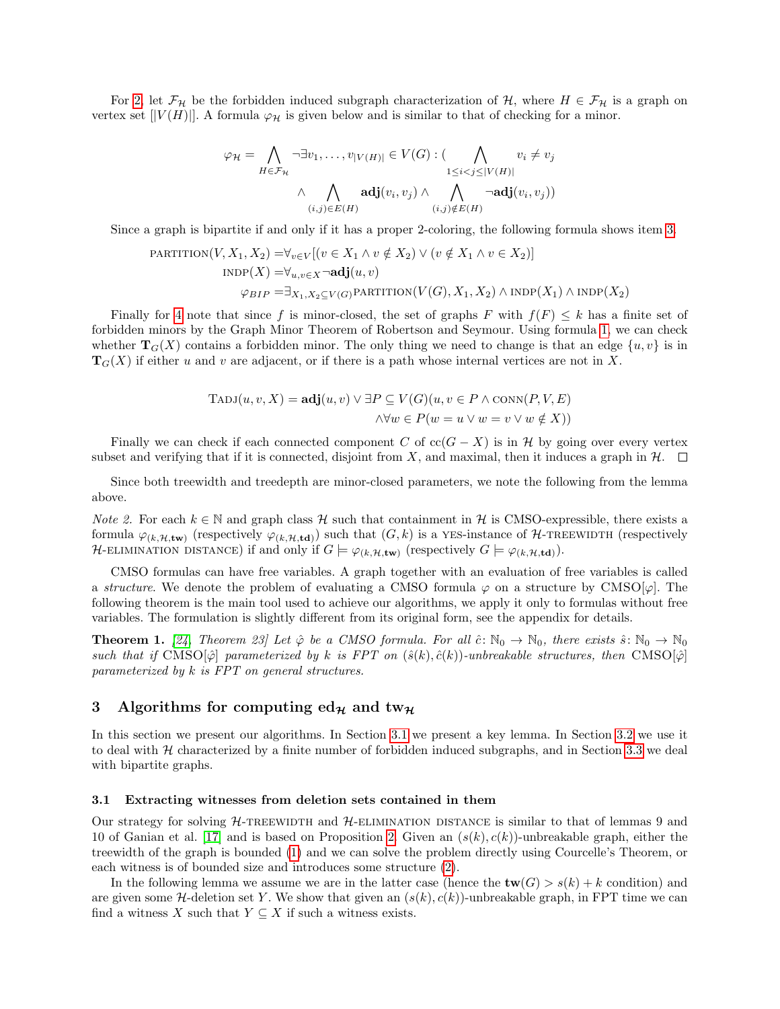For [2,](#page-4-4) let  $\mathcal{F}_{\mathcal{H}}$  be the forbidden induced subgraph characterization of H, where  $H \in \mathcal{F}_{\mathcal{H}}$  is a graph on vertex set  $[|V(H)|]$ . A formula  $\varphi_{\mathcal{H}}$  is given below and is similar to that of checking for a minor.

$$
\varphi_{\mathcal{H}} = \bigwedge_{H \in \mathcal{F}_{\mathcal{H}}} \neg \exists v_1, \dots, v_{|V(H)|} \in V(G) : (\bigwedge_{1 \leq i < j \leq |V(H)|} v_i \neq v_j \land \bigwedge_{(i,j) \in E(H)} \neg \mathbf{adj}(v_i, v_j))
$$

Since a graph is bipartite if and only if it has a proper 2-coloring, the following formula shows item [3.](#page-4-5)

PARTITION(V, 
$$
X_1, X_2
$$
) =  $\forall_{v \in V} [(v \in X_1 \land v \notin X_2) \lor (v \notin X_1 \land v \in X_2)]$ 

\nINDP(X) =  $\forall_{u,v \in X} \neg \textbf{adj}(u, v)$ 

\n $\varphi_{BIP} = \exists_{X_1, X_2 \subseteq V(G)} \text{PARTITION}(V(G), X_1, X_2) \land \text{INDP}(X_1) \land \text{INDP}(X_2)$ 

Finally for [4](#page-4-3) note that since f is minor-closed, the set of graphs F with  $f(F) \leq k$  has a finite set of forbidden minors by the Graph Minor Theorem of Robertson and Seymour. Using formula [1,](#page-4-2) we can check whether  $T_G(X)$  contains a forbidden minor. The only thing we need to change is that an edge  $\{u, v\}$  is in  $\mathbf{T}_G(X)$  if either u and v are adjacent, or if there is a path whose internal vertices are not in X.

$$
TADJ(u, v, X) = adj(u, v) \lor \exists P \subseteq V(G)(u, v \in P \land \text{Conn}(P, V, E)
$$
  

$$
\land \forall w \in P(w = u \lor w = v \lor w \notin X))
$$

Finally we can check if each connected component C of  $cc(G - X)$  is in H by going over every vertex subset and verifying that if it is connected, disjoint from X, and maximal, then it induces a graph in  $\mathcal{H}$ .  $\Box$ 

Since both treewidth and treedepth are minor-closed parameters, we note the following from the lemma above.

<span id="page-5-2"></span>*Note 2.* For each  $k \in \mathbb{N}$  and graph class H such that containment in H is CMSO-expressible, there exists a formula  $\varphi_{(k,\mathcal{H},\text{tw})}$  (respectively  $\varphi_{(k,\mathcal{H},\text{td})}$ ) such that  $(G,k)$  is a YES-instance of H-TREEWIDTH (respectively H-ELIMINATION DISTANCE) if and only if  $G \models \varphi_{(k,\mathcal{H},\text{tw})}$  (respectively  $G \models \varphi_{(k,\mathcal{H},\text{td})}$ ).

CMSO formulas can have free variables. A graph together with an evaluation of free variables is called a structure. We denote the problem of evaluating a CMSO formula  $\varphi$  on a structure by CMSO[ $\varphi$ ]. The following theorem is the main tool used to achieve our algorithms, we apply it only to formulas without free variables. The formulation is slightly different from its original form, see the appendix for details.

<span id="page-5-3"></span>**Theorem 1.** [\[24,](#page-11-11) Theorem 23] Let  $\hat{\varphi}$  be a CMSO formula. For all  $\hat{c}: \mathbb{N}_0 \to \mathbb{N}_0$ , there exists  $\hat{s}: \mathbb{N}_0 \to \mathbb{N}_0$ such that if CMSO $[\hat{\varphi}]$  parameterized by k is FPT on  $(\hat{s}(k), \hat{c}(k))$ -unbreakable structures, then CMSO $[\hat{\varphi}]$ parameterized by k is FPT on general structures.

# 3 Algorithms for computing ed<sub>H</sub> and tw<sub>H</sub>

In this section we present our algorithms. In Section [3.1](#page-5-0) we present a key lemma. In Section [3.2](#page-7-0) we use it to deal with  $H$  characterized by a finite number of forbidden induced subgraphs, and in Section [3.3](#page-7-1) we deal with bipartite graphs.

#### <span id="page-5-0"></span>3.1 Extracting witnesses from deletion sets contained in them

Our strategy for solving  $H$ -TREEWIDTH and  $H$ -ELIMINATION DISTANCE is similar to that of lemmas 9 and 10 of Ganian et al. [\[17\]](#page-11-9) and is based on Proposition [2.](#page-3-1) Given an  $(s(k), c(k))$ -unbreakable graph, either the treewidth of the graph is bounded [\(1\)](#page-4-0) and we can solve the problem directly using Courcelle's Theorem, or each witness is of bounded size and introduces some structure [\(2\)](#page-4-1).

<span id="page-5-1"></span>In the following lemma we assume we are in the latter case (hence the  $\mathbf{tw}(G) > s(k) + k$  condition) and are given some H-deletion set Y. We show that given an  $(s(k), c(k))$ -unbreakable graph, in FPT time we can find a witness X such that  $Y \subseteq X$  if such a witness exists.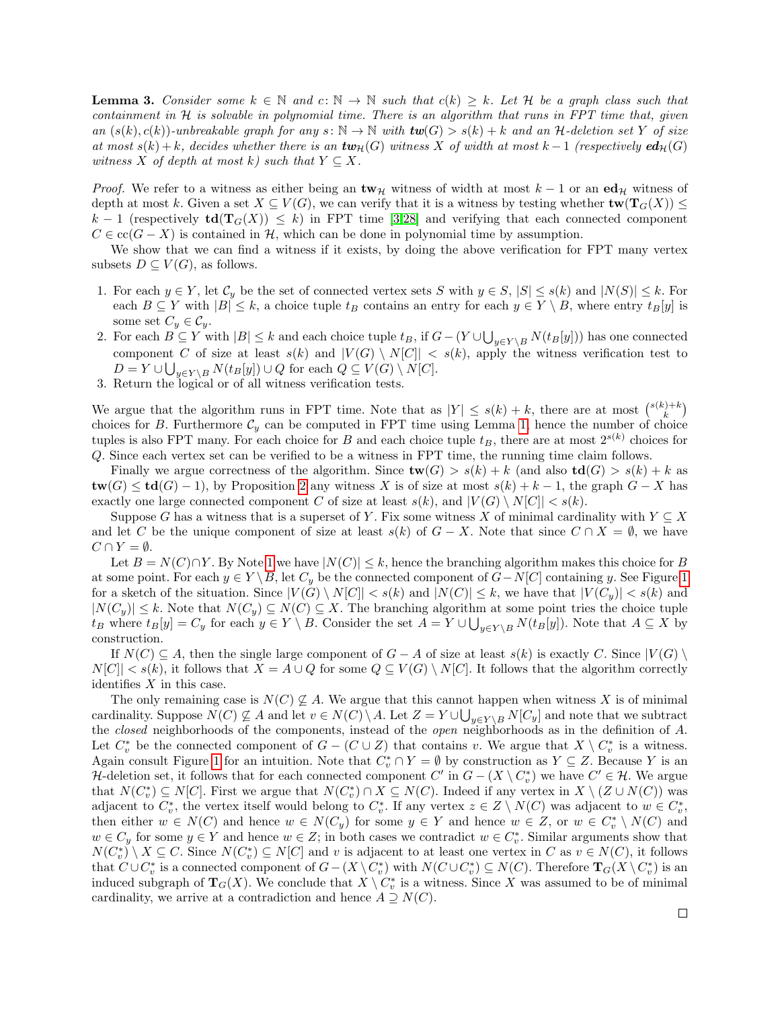**Lemma 3.** Consider some  $k \in \mathbb{N}$  and  $c: \mathbb{N} \to \mathbb{N}$  such that  $c(k) \geq k$ . Let H be a graph class such that containment in  $H$  is solvable in polynomial time. There is an algorithm that runs in FPT time that, given an  $(s(k), c(k))$ -unbreakable graph for any  $s: \mathbb{N} \to \mathbb{N}$  with  $tw(G) > s(k) + k$  and an H-deletion set Y of size at most  $s(k) + k$ , decides whether there is an  $\text{tw}_{\mathcal{H}}(G)$  witness X of width at most  $k - 1$  (respectively  $\text{ed}_{\mathcal{H}}(G)$ witness X of depth at most k) such that  $Y \subseteq X$ .

*Proof.* We refer to a witness as either being an  $\mathbf{tw}_{\mathcal{H}}$  witness of width at most  $k - 1$  or an  $\mathbf{ed}_{\mathcal{H}}$  witness of depth at most k. Given a set  $X \subseteq V(G)$ , we can verify that it is a witness by testing whether  $\text{tw}(T_G(X)) \leq$ k − 1 (respectively  $td(T<sub>G</sub>(X)) \leq k$ ) in FPT time [\[3,](#page-10-6)[28\]](#page-12-3) and verifying that each connected component  $C \in \operatorname{cc}(G - X)$  is contained in H, which can be done in polynomial time by assumption.

We show that we can find a witness if it exists, by doing the above verification for FPT many vertex subsets  $D \subseteq V(G)$ , as follows.

- 1. For each  $y \in Y$ , let  $C_y$  be the set of connected vertex sets S with  $y \in S$ ,  $|S| \le s(k)$  and  $|N(S)| \le k$ . For each  $B \subseteq Y$  with  $|B| \leq k$ , a choice tuple  $t_B$  contains an entry for each  $y \in Y \setminus B$ , where entry  $t_B[y]$  is some set  $C_y \in \mathcal{C}_y$ .
- 2. For each  $B \subseteq Y$  with  $|B| \leq k$  and each choice tuple  $t_B$ , if  $G (Y \cup \bigcup_{y \in Y \setminus B} N(t_B[y]))$  has one connected component C of size at least  $s(k)$  and  $|V(G) \setminus N[C]| < s(k)$ , apply the witness verification test to  $D = Y \cup \bigcup_{y \in Y \setminus B} N(t_B[y]) \cup Q$  for each  $Q \subseteq V(G) \setminus N[C]$ .
- 3. Return the logical or of all witness verification tests.

We argue that the algorithm runs in FPT time. Note that as  $|Y| \leq s(k) + k$ , there are at most  $\binom{s(k)+k}{k}$ choices for B. Furthermore  $\mathcal{C}_y$  can be computed in FPT time using Lemma [1,](#page-4-6) hence the number of choice tuples is also FPT many. For each choice for B and each choice tuple  $t_B$ , there are at most  $2^{s(k)}$  choices for Q. Since each vertex set can be verified to be a witness in FPT time, the running time claim follows.

Finally we argue correctness of the algorithm. Since  $\mathbf{tw}(G) > s(k) + k$  (and also  $\mathbf{td}(G) > s(k) + k$  as  $tw(G) \le td(G) - 1$ , by Proposition [2](#page-3-1) any witness X is of size at most  $s(k) + k - 1$ , the graph  $G - X$  has exactly one large connected component C of size at least  $s(k)$ , and  $|V(G) \setminus N[C]| < s(k)$ .

Suppose G has a witness that is a superset of Y. Fix some witness X of minimal cardinality with  $Y \subseteq X$ and let C be the unique component of size at least  $s(k)$  of  $G - X$ . Note that since  $C \cap X = \emptyset$ , we have  $C \cap Y = \emptyset$ .

Let  $B = N(C) \cap Y$ . By Note [1](#page-3-0) we have  $|N(C)| \leq k$ , hence the branching algorithm makes this choice for B at some point. For each  $y \in Y \setminus B$ , let  $C_y$  be the connected component of  $G-N[C]$  containing y. See Figure [1](#page-7-2) for a sketch of the situation. Since  $|V(G) \setminus N[C]| < s(k)$  and  $|N(C)| \leq k$ , we have that  $|V(C_y)| < s(k)$  and  $|N(C_y)| \leq k$ . Note that  $N(C_y) \subseteq N(C) \subseteq X$ . The branching algorithm at some point tries the choice tuple  $t_B$  where  $t_B[y] = C_y$  for each  $y \in Y \setminus B$ . Consider the set  $A = Y \cup \bigcup_{y \in Y \setminus B} N(t_B[y])$ . Note that  $A \subseteq X$  by construction.

If  $N(C) \subseteq A$ , then the single large component of  $G - A$  of size at least  $s(k)$  is exactly C. Since  $|V(G) \rangle$  $N[C]| < s(k)$ , it follows that  $X = A \cup Q$  for some  $Q \subseteq V(G) \setminus N[C]$ . It follows that the algorithm correctly identifies  $X$  in this case.

The only remaining case is  $N(C) \not\subseteq A$ . We argue that this cannot happen when witness X is of minimal cardinality. Suppose  $N(C) \nsubseteq A$  and let  $v \in N(C) \setminus A$ . Let  $Z = Y \cup \bigcup_{y \in Y \setminus B} N[C_y]$  and note that we subtract the closed neighborhoods of the components, instead of the open neighborhoods as in the definition of A. Let  $C_v^*$  be the connected component of  $G - (C \cup Z)$  that contains v. We argue that  $X \setminus C_v^*$  is a witness. Again consult Figure [1](#page-7-2) for an intuition. Note that  $C_v^* \cap Y = \emptyset$  by construction as  $Y \subseteq Z$ . Because Y is an H-deletion set, it follows that for each connected component  $C'$  in  $G - (X \setminus C_v^*)$  we have  $C' \in \mathcal{H}$ . We argue that  $N(C_v^*) \subseteq N[C]$ . First we argue that  $N(C_v^*) \cap X \subseteq N(C)$ . Indeed if any vertex in  $X \setminus (Z \cup N(C))$  was adjacent to  $C_v^*$ , the vertex itself would belong to  $C_v^*$ . If any vertex  $z \in Z \setminus N(C)$  was adjacent to  $w \in C_v^*$ , then either  $w \in N(C)$  and hence  $w \in N(C_y)$  for some  $y \in Y$  and hence  $w \in Z$ , or  $w \in C_v^* \setminus N(C)$  and  $w \in C_y$  for some  $y \in Y$  and hence  $w \in Z$ ; in both cases we contradict  $w \in C_v^*$ . Similar arguments show that  $N(C_v^*) \setminus X \subseteq C$ . Since  $N(C_v^*) \subseteq N[C]$  and v is adjacent to at least one vertex in C as  $v \in N(C)$ , it follows that  $C\cup C_v^*$  is a connected component of  $G-(X\setminus C_v^*)$  with  $N(C\cup C_v^*)\subseteq N(C)$ . Therefore  $\mathbf{T}_G(X\setminus C_v^*)$  is an induced subgraph of  $T_G(X)$ . We conclude that  $X \setminus C_v^*$  is a witness. Since X was assumed to be of minimal cardinality, we arrive at a contradiction and hence  $A \supseteq N(C)$ .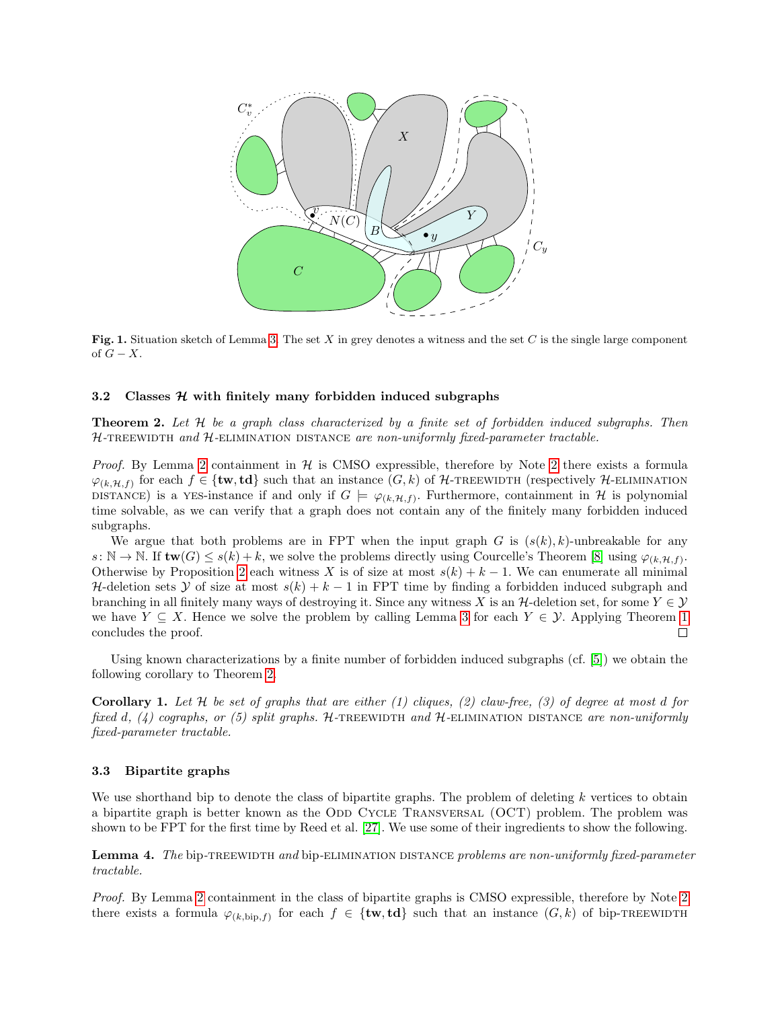

<span id="page-7-2"></span>Fig. 1. Situation sketch of Lemma [3.](#page-5-1) The set X in grey denotes a witness and the set C is the single large component of  $G - X$ .

#### <span id="page-7-0"></span>3.2 Classes  $H$  with finitely many forbidden induced subgraphs

<span id="page-7-3"></span>**Theorem 2.** Let  $H$  be a graph class characterized by a finite set of forbidden induced subgraphs. Then  $H$ -TREEWIDTH and  $H$ -ELIMINATION DISTANCE are non-uniformly fixed-parameter tractable.

*Proof.* By Lemma [2](#page-5-2) containment in  $H$  is CMSO expressible, therefore by Note 2 there exists a formula  $\varphi_{(k,\mathcal{H},f)}$  for each  $f \in \{\text{tw},\text{td}\}\$  such that an instance  $(G,k)$  of H-TREEWIDTH (respectively H-ELIMINATION DISTANCE) is a YES-instance if and only if  $G \models \varphi_{(k,\mathcal{H},f)}$ . Furthermore, containment in H is polynomial time solvable, as we can verify that a graph does not contain any of the finitely many forbidden induced subgraphs.

We argue that both problems are in FPT when the input graph G is  $(s(k), k)$ -unbreakable for any  $s: \mathbb{N} \to \mathbb{N}$ . If  $\text{tw}(G) \leq s(k) + k$ , we solve the problems directly using Courcelle's Theorem [\[8\]](#page-10-7) using  $\varphi_{(k,\mathcal{H},f)}$ . Otherwise by Proposition [2](#page-3-1) each witness X is of size at most  $s(k) + k - 1$ . We can enumerate all minimal H-deletion sets Y of size at most  $s(k) + k - 1$  in FPT time by finding a forbidden induced subgraph and branching in all finitely many ways of destroying it. Since any witness X is an  $H$ -deletion set, for some  $Y \in \mathcal{Y}$ we have  $Y \subseteq X$ . Hence we solve the problem by calling Lemma [3](#page-5-1) for each  $Y \in \mathcal{Y}$ . Applying Theorem [1](#page-5-3) concludes the proof.  $\Box$ 

Using known characterizations by a finite number of forbidden induced subgraphs (cf. [\[5\]](#page-10-8)) we obtain the following corollary to Theorem [2.](#page-7-3)

**Corollary 1.** Let H be set of graphs that are either (1) cliques, (2) claw-free, (3) of degree at most d for fixed d, (4) cographs, or (5) split graphs. H-TREEWIDTH and H-ELIMINATION DISTANCE are non-uniformly fixed-parameter tractable.

#### <span id="page-7-1"></span>3.3 Bipartite graphs

We use shorthand bip to denote the class of bipartite graphs. The problem of deleting  $k$  vertices to obtain a bipartite graph is better known as the ODD CYCLE TRANSVERSAL (OCT) problem. The problem was shown to be FPT for the first time by Reed et al. [\[27\]](#page-12-2). We use some of their ingredients to show the following.

Lemma 4. The bip-TREEWIDTH and bip-ELIMINATION DISTANCE problems are non-uniformly fixed-parameter tractable.

Proof. By Lemma [2](#page-4-7) containment in the class of bipartite graphs is CMSO expressible, therefore by Note [2](#page-5-2) there exists a formula  $\varphi_{(k,\text{bip},f)}$  for each  $f \in \{\text{tw},\text{td}\}\$  such that an instance  $(G,k)$  of bip-TREEWIDTH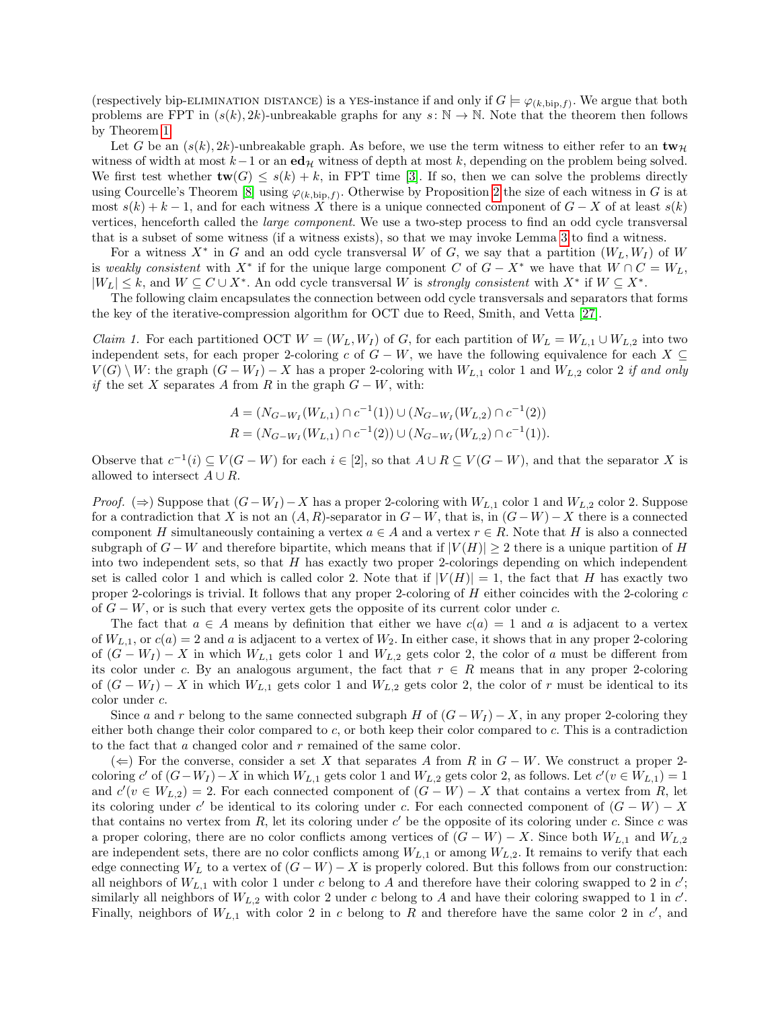(respectively bip-ELIMINATION DISTANCE) is a YES-instance if and only if  $G \models \varphi_{(k,\text{bip},f)}$ . We argue that both problems are FPT in  $(s(k), 2k)$ -unbreakable graphs for any  $s: \mathbb{N} \to \mathbb{N}$ . Note that the theorem then follows by Theorem [1.](#page-5-3)

Let G be an  $(s(k), 2k)$ -unbreakable graph. As before, we use the term witness to either refer to an  $\mathbf{tw}_{\mathcal{H}}$ witness of width at most  $k-1$  or an  $ed_{\mathcal{H}}$  witness of depth at most k, depending on the problem being solved. We first test whether  $\mathbf{tw}(G) \leq s(k) + k$ , in FPT time [\[3\]](#page-10-6). If so, then we can solve the problems directly using Courcelle's Theorem [\[8\]](#page-10-7) using  $\varphi_{(k,\text{bip},f)}$ . Otherwise by Proposition [2](#page-3-1) the size of each witness in G is at most  $s(k) + k - 1$ , and for each witness X there is a unique connected component of  $G - X$  of at least  $s(k)$ vertices, henceforth called the *large component*. We use a two-step process to find an odd cycle transversal that is a subset of some witness (if a witness exists), so that we may invoke Lemma [3](#page-5-1) to find a witness.

For a witness  $X^*$  in G and an odd cycle transversal W of G, we say that a partition  $(W_L, W_I)$  of W is weakly consistent with  $X^*$  if for the unique large component C of  $G - X^*$  we have that  $W \cap C = W_L$ ,  $|W_L| \leq k$ , and  $W \subseteq C \cup X^*$ . An odd cycle transversal W is *strongly consistent* with  $X^*$  if  $W \subseteq X^*$ .

The following claim encapsulates the connection between odd cycle transversals and separators that forms the key of the iterative-compression algorithm for OCT due to Reed, Smith, and Vetta [\[27\]](#page-12-2).

<span id="page-8-0"></span>*Claim 1.* For each partitioned OCT  $W = (W_L, W_I)$  of G, for each partition of  $W_L = W_{L,1} \cup W_{L,2}$  into two independent sets, for each proper 2-coloring c of  $G - W$ , we have the following equivalence for each  $X \subseteq$  $V(G) \setminus W$ : the graph  $(G - W_I) - X$  has a proper 2-coloring with  $W_{L,1}$  color 1 and  $W_{L,2}$  color 2 if and only if the set X separates A from R in the graph  $G - W$ , with:

$$
A = (N_{G-W_I}(W_{L,1}) \cap c^{-1}(1)) \cup (N_{G-W_I}(W_{L,2}) \cap c^{-1}(2))
$$
  

$$
R = (N_{G-W_I}(W_{L,1}) \cap c^{-1}(2)) \cup (N_{G-W_I}(W_{L,2}) \cap c^{-1}(1)).
$$

Observe that  $c^{-1}(i) \subseteq V(G - W)$  for each  $i \in [2]$ , so that  $A \cup R \subseteq V(G - W)$ , and that the separator X is allowed to intersect  $A \cup R$ .

*Proof.* (⇒) Suppose that  $(G-W_I) - X$  has a proper 2-coloring with  $W_{L,1}$  color 1 and  $W_{L,2}$  color 2. Suppose for a contradiction that X is not an  $(A, R)$ -separator in  $G-W$ , that is, in  $(G-W)-X$  there is a connected component H simultaneously containing a vertex  $a \in A$  and a vertex  $r \in R$ . Note that H is also a connected subgraph of  $G - W$  and therefore bipartite, which means that if  $|V(H)| \geq 2$  there is a unique partition of H into two independent sets, so that  $H$  has exactly two proper 2-colorings depending on which independent set is called color 1 and which is called color 2. Note that if  $|V(H)| = 1$ , the fact that H has exactly two proper 2-colorings is trivial. It follows that any proper 2-coloring of H either coincides with the 2-coloring c of  $G - W$ , or is such that every vertex gets the opposite of its current color under c.

The fact that  $a \in A$  means by definition that either we have  $c(a) = 1$  and a is adjacent to a vertex of  $W_{L,1}$ , or  $c(a) = 2$  and a is adjacent to a vertex of  $W_2$ . In either case, it shows that in any proper 2-coloring of  $(G - W_I) - X$  in which  $W_{L,1}$  gets color 1 and  $W_{L,2}$  gets color 2, the color of a must be different from its color under c. By an analogous argument, the fact that  $r \in R$  means that in any proper 2-coloring of  $(G - W_I) - X$  in which  $W_{L,1}$  gets color 1 and  $W_{L,2}$  gets color 2, the color of r must be identical to its color under c.

Since a and r belong to the same connected subgraph H of  $(G - W_I) - X$ , in any proper 2-coloring they either both change their color compared to  $c$ , or both keep their color compared to  $c$ . This is a contradiction to the fact that a changed color and r remained of the same color.

 $(\Leftarrow)$  For the converse, consider a set X that separates A from R in  $G - W$ . We construct a proper 2coloring c' of  $(G-W_I) - X$  in which  $W_{L,1}$  gets color 1 and  $W_{L,2}$  gets color 2, as follows. Let  $c'(v \in W_{L,1}) = 1$ and  $c'(v \in W_{L,2}) = 2$ . For each connected component of  $(G - W) - X$  that contains a vertex from R, let its coloring under c' be identical to its coloring under c. For each connected component of  $(G - W) - X$ that contains no vertex from  $R$ , let its coloring under  $c'$  be the opposite of its coloring under  $c$ . Since  $c$  was a proper coloring, there are no color conflicts among vertices of  $(G - W) - X$ . Since both  $W_{L,1}$  and  $W_{L,2}$ are independent sets, there are no color conflicts among  $W_{L,1}$  or among  $W_{L,2}$ . It remains to verify that each edge connecting  $W_L$  to a vertex of  $(G - W) - X$  is properly colored. But this follows from our construction: all neighbors of  $W_{L,1}$  with color 1 under c belong to A and therefore have their coloring swapped to 2 in c'; similarly all neighbors of  $W_{L,2}$  with color 2 under c belong to A and have their coloring swapped to 1 in c'. Finally, neighbors of  $W_{L,1}$  with color 2 in c belong to R and therefore have the same color 2 in c', and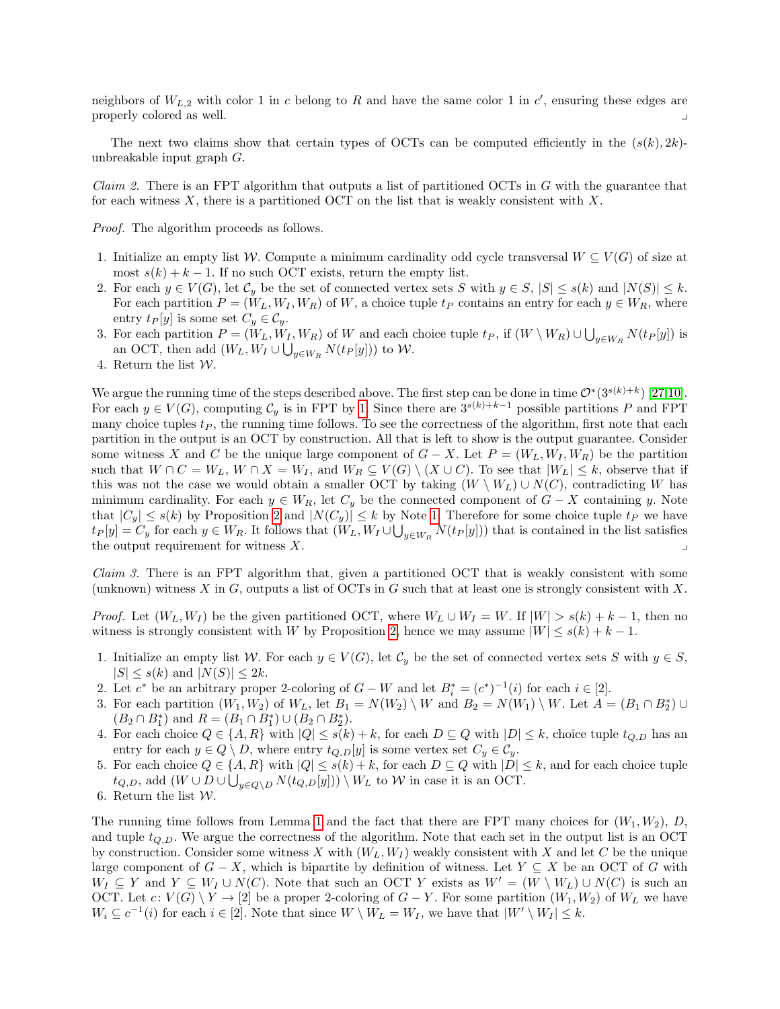neighbors of  $W_{L,2}$  with color 1 in c belong to R and have the same color 1 in c', ensuring these edges are properly colored as well. y

The next two claims show that certain types of OCTs can be computed efficiently in the  $(s(k), 2k)$ unbreakable input graph G.

<span id="page-9-0"></span>*Claim 2.* There is an FPT algorithm that outputs a list of partitioned OCTs in  $G$  with the guarantee that for each witness  $X$ , there is a partitioned OCT on the list that is weakly consistent with  $X$ .

Proof. The algorithm proceeds as follows.

- 1. Initialize an empty list W. Compute a minimum cardinality odd cycle transversal  $W \subseteq V(G)$  of size at most  $s(k) + k - 1$ . If no such OCT exists, return the empty list.
- 2. For each  $y \in V(G)$ , let  $C_y$  be the set of connected vertex sets S with  $y \in S$ ,  $|S| \le s(k)$  and  $|N(S)| \le k$ . For each partition  $P = (W_L, W_I, W_R)$  of W, a choice tuple  $t_P$  contains an entry for each  $y \in W_R$ , where entry  $t_P[y]$  is some set  $C_y \in C_y$ .
- 3. For each partition  $P = (W_L, W_I, W_R)$  of W and each choice tuple  $t_P$ , if  $(W \setminus W_R) \cup \bigcup_{y \in W_R} N(t_P[y])$  is an OCT, then add  $(W_L, W_I \cup \bigcup_{y \in W_R} N(t_P[y]))$  to W.
- 4. Return the list W.

We argue the running time of the steps described above. The first step can be done in time  $\mathcal{O}^*(3^{s(k)+k})$  [\[27,](#page-12-2)[10\]](#page-11-0). For each  $y \in V(G)$ , computing  $C_y$  is in FPT by [1.](#page-4-6) Since there are  $3^{s(k)+k-1}$  possible partitions P and FPT many choice tuples  $t_P$ , the running time follows. To see the correctness of the algorithm, first note that each partition in the output is an OCT by construction. All that is left to show is the output guarantee. Consider some witness X and C be the unique large component of  $G - X$ . Let  $P = (W_L, W_I, W_R)$  be the partition such that  $W \cap C = W_L$ ,  $W \cap X = W_I$ , and  $W_R \subseteq V(G) \setminus (X \cup C)$ . To see that  $|W_L| \leq k$ , observe that if this was not the case we would obtain a smaller OCT by taking  $(W \setminus W_L) \cup N(C)$ , contradicting W has minimum cardinality. For each  $y \in W_R$ , let  $C_y$  be the connected component of  $G - X$  containing y. Note that  $|C_y| \leq s(k)$  by Proposition [2](#page-3-1) and  $|N(C_y)| \leq k$  by Note [1.](#page-3-0) Therefore for some choice tuple  $t_P$  we have  $t_P[y] = C_y$  for each  $y \in W_R$ . It follows that  $(W_L, W_I \cup \bigcup_{y \in W_R} N(t_P[y]))$  that is contained in the list satisfies the output requirement for witness  $X$ .

<span id="page-9-1"></span>*Claim 3.* There is an FPT algorithm that, given a partitioned OCT that is weakly consistent with some (unknown) witness X in G, outputs a list of OCTs in G such that at least one is strongly consistent with X.

*Proof.* Let  $(W_L, W_I)$  be the given partitioned OCT, where  $W_L \cup W_I = W$ . If  $|W| > s(k) + k - 1$ , then no witness is strongly consistent with W by Proposition [2,](#page-3-1) hence we may assume  $|W| \leq s(k) + k - 1$ .

- 1. Initialize an empty list W. For each  $y \in V(G)$ , let  $\mathcal{C}_y$  be the set of connected vertex sets S with  $y \in S$ ,  $|S| \leq s(k)$  and  $|N(S)| \leq 2k$ .
- 2. Let  $c^*$  be an arbitrary proper 2-coloring of  $G W$  and let  $B_i^* = (c^*)^{-1}(i)$  for each  $i \in [2]$ .
- 3. For each partition  $(W_1, W_2)$  of  $W_L$ , let  $B_1 = N(W_2) \setminus W$  and  $B_2 = N(W_1) \setminus W$ . Let  $A = (B_1 \cap B_2^*) \cup$  $(B_2 \cap B_1^*)$  and  $R = (B_1 \cap B_1^*) \cup (B_2 \cap B_2^*)$ .
- 4. For each choice  $Q \in \{A, R\}$  with  $|Q| \leq s(k) + k$ , for each  $D \subseteq Q$  with  $|D| \leq k$ , choice tuple  $t_{Q,D}$  has an entry for each  $y \in Q \setminus D$ , where entry  $t_{Q,D}[y]$  is some vertex set  $C_y \in C_y$ .
- 5. For each choice  $Q \in \{A, R\}$  with  $|Q| \leq s(k) + k$ , for each  $D \subseteq Q$  with  $|D| \leq k$ , and for each choice tuple  $t_{Q,D}$ , add  $(W \cup D \cup \bigcup_{y \in Q \setminus D} N(t_{Q,D}[y])) \setminus W_L$  to W in case it is an OCT.
- 6. Return the list  $W$ .

The running time follows from Lemma [1](#page-4-6) and the fact that there are FPT many choices for  $(W_1, W_2)$ , D, and tuple  $t_{Q,D}$ . We argue the correctness of the algorithm. Note that each set in the output list is an OCT by construction. Consider some witness X with  $(W_L, W_I)$  weakly consistent with X and let C be the unique large component of  $G - X$ , which is bipartite by definition of witness. Let  $Y \subseteq X$  be an OCT of G with  $W_I \subseteq Y$  and  $Y \subseteq W_I \cup N(C)$ . Note that such an OCT Y exists as  $W' = (W \setminus W_L) \cup N(C)$  is such an OCT. Let  $c: V(G) \setminus Y \to [2]$  be a proper 2-coloring of  $G - Y$ . For some partition  $(W_1, W_2)$  of  $W_L$  we have  $W_i \subseteq c^{-1}(i)$  for each  $i \in [2]$ . Note that since  $W \setminus W_L = W_I$ , we have that  $|W' \setminus W_I| \leq k$ .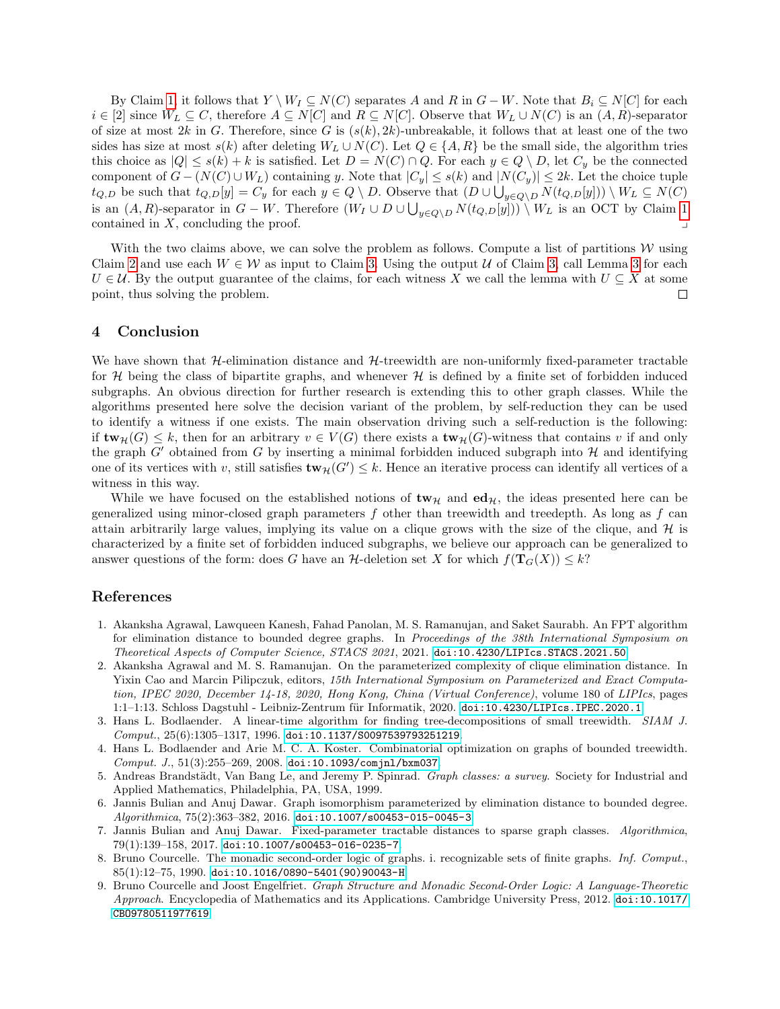By Claim [1,](#page-8-0) it follows that  $Y \setminus W_I \subseteq N(C)$  separates A and R in  $G - W$ . Note that  $B_i \subseteq N[C]$  for each  $i \in [2]$  since  $W_L \subseteq C$ , therefore  $A \subseteq N[C]$  and  $R \subseteq N[C]$ . Observe that  $W_L \cup N(C)$  is an  $(A, R)$ -separator of size at most 2k in G. Therefore, since G is  $(s(k), 2k)$ -unbreakable, it follows that at least one of the two sides has size at most  $s(k)$  after deleting  $W_L \cup N(C)$ . Let  $Q \in \{A, R\}$  be the small side, the algorithm tries this choice as  $|Q| \leq s(k) + k$  is satisfied. Let  $D = N(C) \cap Q$ . For each  $y \in Q \setminus D$ , let  $C_y$  be the connected component of  $G - (N(C) \cup W_L)$  containing y. Note that  $|C_y| \leq s(k)$  and  $|N(C_y)| \leq 2k$ . Let the choice tuple  $t_{Q,D}$  be such that  $t_{Q,D}[y] = C_y$  for each  $y \in Q \setminus D$ . Observe that  $(D \cup \bigcup_{y \in Q \setminus D} N(t_{Q,D}[y])) \setminus W_L \subseteq N(C)$ is an  $(A, R)$ -separator in  $G - W$ . Therefore  $(W_I \cup D \cup \bigcup_{y \in Q \setminus D} N(t_{Q,D}[y])) \setminus W_L$  is an OCT by Claim [1](#page-8-0) contained in  $X$ , concluding the proof.

With the two claims above, we can solve the problem as follows. Compute a list of partitions  $W$  using Claim [2](#page-9-0) and use each  $W \in \mathcal{W}$  as input to Claim [3.](#page-9-1) Using the output U of Claim [3,](#page-9-1) call Lemma [3](#page-5-1) for each  $U \in \mathcal{U}$ . By the output guarantee of the claims, for each witness X we call the lemma with  $U \subseteq X$  at some point, thus solving the problem.  $\Box$ 

## 4 Conclusion

We have shown that  $H$ -elimination distance and  $H$ -treewidth are non-uniformly fixed-parameter tractable for  $\mathcal H$  being the class of bipartite graphs, and whenever  $\mathcal H$  is defined by a finite set of forbidden induced subgraphs. An obvious direction for further research is extending this to other graph classes. While the algorithms presented here solve the decision variant of the problem, by self-reduction they can be used to identify a witness if one exists. The main observation driving such a self-reduction is the following: if  $\text{tw}_{\mathcal{H}}(G) \leq k$ , then for an arbitrary  $v \in V(G)$  there exists a  $\text{tw}_{\mathcal{H}}(G)$ -witness that contains v if and only the graph  $G'$  obtained from G by inserting a minimal forbidden induced subgraph into  $H$  and identifying one of its vertices with v, still satisfies  $\text{tw}_{\mathcal{H}}(G') \leq k$ . Hence an iterative process can identify all vertices of a witness in this way.

While we have focused on the established notions of  $\mathbf{tw}_{\mathcal{H}}$  and  $\mathbf{ed}_{\mathcal{H}}$ , the ideas presented here can be generalized using minor-closed graph parameters  $f$  other than treewidth and treedepth. As long as  $f$  can attain arbitrarily large values, implying its value on a clique grows with the size of the clique, and  $H$  is characterized by a finite set of forbidden induced subgraphs, we believe our approach can be generalized to answer questions of the form: does G have an H-deletion set X for which  $f(\mathbf{T}_G(X)) \leq k$ ?

### References

- <span id="page-10-4"></span>1. Akanksha Agrawal, Lawqueen Kanesh, Fahad Panolan, M. S. Ramanujan, and Saket Saurabh. An FPT algorithm for elimination distance to bounded degree graphs. In Proceedings of the 38th International Symposium on Theoretical Aspects of Computer Science, STACS 2021, 2021. [doi:10.4230/LIPIcs.STACS.2021.50](https://doi.org/10.4230/LIPIcs.STACS.2021.50).
- <span id="page-10-3"></span>2. Akanksha Agrawal and M. S. Ramanujan. On the parameterized complexity of clique elimination distance. In Yixin Cao and Marcin Pilipczuk, editors, 15th International Symposium on Parameterized and Exact Computation, IPEC 2020, December 14-18, 2020, Hong Kong, China (Virtual Conference), volume 180 of LIPIcs, pages 1:1-1:13. Schloss Dagstuhl - Leibniz-Zentrum für Informatik, 2020. [doi:10.4230/LIPIcs.IPEC.2020.1](https://doi.org/10.4230/LIPIcs.IPEC.2020.1).
- <span id="page-10-6"></span>3. Hans L. Bodlaender. A linear-time algorithm for finding tree-decompositions of small treewidth. SIAM J.  $Comput., 25(6):1305-1317, 1996.$  [doi:10.1137/S0097539793251219](https://doi.org/10.1137/S0097539793251219).
- <span id="page-10-0"></span>4. Hans L. Bodlaender and Arie M. C. A. Koster. Combinatorial optimization on graphs of bounded treewidth.  $Comput. J., 51(3):255-269, 2008. doi:10.1093/comjnl/bxm037.$  $Comput. J., 51(3):255-269, 2008. doi:10.1093/comjnl/bxm037.$  $Comput. J., 51(3):255-269, 2008. doi:10.1093/comjnl/bxm037.$
- <span id="page-10-8"></span>5. Andreas Brandstädt, Van Bang Le, and Jeremy P. Spinrad. Graph classes: a survey. Society for Industrial and Applied Mathematics, Philadelphia, PA, USA, 1999.
- <span id="page-10-1"></span>6. Jannis Bulian and Anuj Dawar. Graph isomorphism parameterized by elimination distance to bounded degree. Algorithmica, 75(2):363–382, 2016. [doi:10.1007/s00453-015-0045-3](https://doi.org/10.1007/s00453-015-0045-3).
- <span id="page-10-2"></span>7. Jannis Bulian and Anuj Dawar. Fixed-parameter tractable distances to sparse graph classes. Algorithmica, 79(1):139–158, 2017. [doi:10.1007/s00453-016-0235-7](https://doi.org/10.1007/s00453-016-0235-7).
- <span id="page-10-7"></span>8. Bruno Courcelle. The monadic second-order logic of graphs. i. recognizable sets of finite graphs. Inf. Comput., 85(1):12–75, 1990. [doi:10.1016/0890-5401\(90\)90043-H](https://doi.org/10.1016/0890-5401(90)90043-H).
- <span id="page-10-5"></span>9. Bruno Courcelle and Joost Engelfriet. Graph Structure and Monadic Second-Order Logic: A Language-Theoretic Approach. Encyclopedia of Mathematics and its Applications. Cambridge University Press, 2012. [doi:10.1017/](https://doi.org/10.1017/CBO9780511977619) [CBO9780511977619](https://doi.org/10.1017/CBO9780511977619).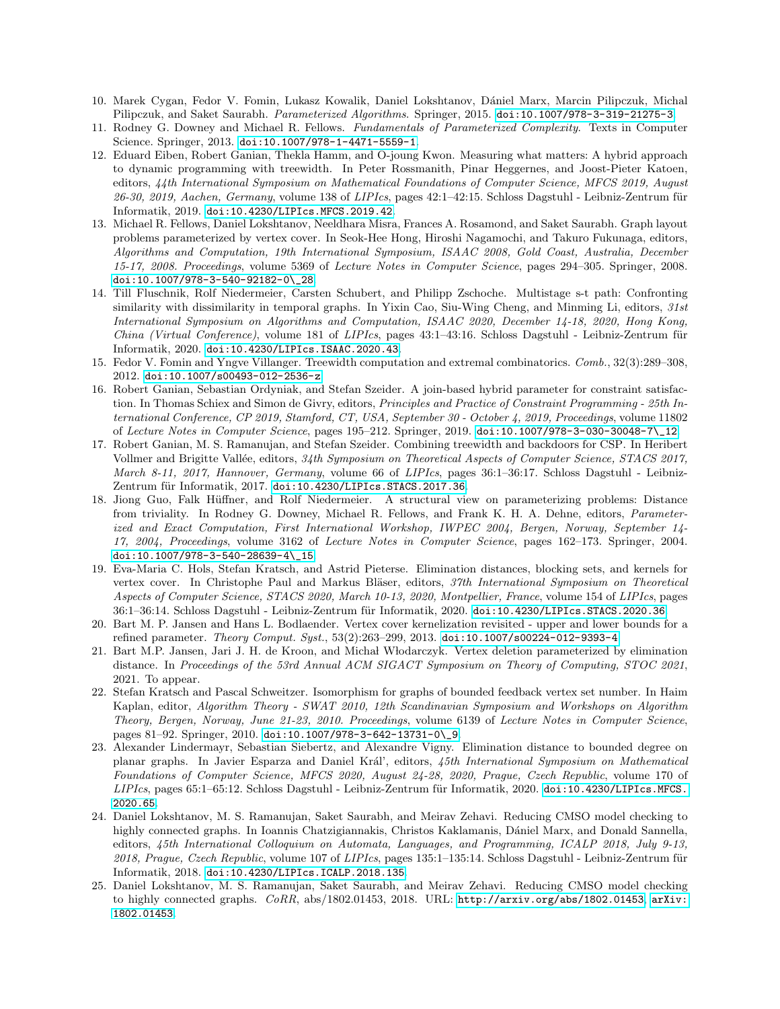- <span id="page-11-0"></span>10. Marek Cygan, Fedor V. Fomin, Lukasz Kowalik, Daniel Lokshtanov, D´aniel Marx, Marcin Pilipczuk, Michal Pilipczuk, and Saket Saurabh. *Parameterized Algorithms*. Springer, 2015. [doi:10.1007/978-3-319-21275-3](https://doi.org/10.1007/978-3-319-21275-3).
- <span id="page-11-1"></span>11. Rodney G. Downey and Michael R. Fellows. Fundamentals of Parameterized Complexity. Texts in Computer Science. Springer, 2013. [doi:10.1007/978-1-4471-5559-1](https://doi.org/10.1007/978-1-4471-5559-1).
- <span id="page-11-7"></span>12. Eduard Eiben, Robert Ganian, Thekla Hamm, and O-joung Kwon. Measuring what matters: A hybrid approach to dynamic programming with treewidth. In Peter Rossmanith, Pinar Heggernes, and Joost-Pieter Katoen, editors, 44th International Symposium on Mathematical Foundations of Computer Science, MFCS 2019, August 26-30, 2019, Aachen, Germany, volume 138 of LIPIcs, pages 42:1-42:15. Schloss Dagstuhl - Leibniz-Zentrum für Informatik, 2019. [doi:10.4230/LIPIcs.MFCS.2019.42](https://doi.org/10.4230/LIPIcs.MFCS.2019.42).
- <span id="page-11-5"></span>13. Michael R. Fellows, Daniel Lokshtanov, Neeldhara Misra, Frances A. Rosamond, and Saket Saurabh. Graph layout problems parameterized by vertex cover. In Seok-Hee Hong, Hiroshi Nagamochi, and Takuro Fukunaga, editors, Algorithms and Computation, 19th International Symposium, ISAAC 2008, Gold Coast, Australia, December 15-17, 2008. Proceedings, volume 5369 of Lecture Notes in Computer Science, pages 294–305. Springer, 2008. [doi:10.1007/978-3-540-92182-0\\\_28](https://doi.org/10.1007/978-3-540-92182-0_28).
- <span id="page-11-6"></span>14. Till Fluschnik, Rolf Niedermeier, Carsten Schubert, and Philipp Zschoche. Multistage s-t path: Confronting similarity with dissimilarity in temporal graphs. In Yixin Cao, Siu-Wing Cheng, and Minming Li, editors, 31st International Symposium on Algorithms and Computation, ISAAC 2020, December 14-18, 2020, Hong Kong, China (Virtual Conference), volume 181 of LIPIcs, pages 43:1-43:16. Schloss Dagstuhl - Leibniz-Zentrum für Informatik, 2020. [doi:10.4230/LIPIcs.ISAAC.2020.43](https://doi.org/10.4230/LIPIcs.ISAAC.2020.43).
- <span id="page-11-14"></span>15. Fedor V. Fomin and Yngve Villanger. Treewidth computation and extremal combinatorics. Comb., 32(3):289–308, 2012. [doi:10.1007/s00493-012-2536-z](https://doi.org/10.1007/s00493-012-2536-z).
- <span id="page-11-8"></span>16. Robert Ganian, Sebastian Ordyniak, and Stefan Szeider. A join-based hybrid parameter for constraint satisfaction. In Thomas Schiex and Simon de Givry, editors, Principles and Practice of Constraint Programming - 25th International Conference, CP 2019, Stamford, CT, USA, September 30 - October 4, 2019, Proceedings, volume 11802 of Lecture Notes in Computer Science, pages 195–212. Springer, 2019. [doi:10.1007/978-3-030-30048-7\\\_12](https://doi.org/10.1007/978-3-030-30048-7_12).
- <span id="page-11-9"></span>17. Robert Ganian, M. S. Ramanujan, and Stefan Szeider. Combining treewidth and backdoors for CSP. In Heribert Vollmer and Brigitte Vallée, editors, 34th Symposium on Theoretical Aspects of Computer Science, STACS 2017, March 8-11, 2017, Hannover, Germany, volume 66 of LIPIcs, pages 36:1-36:17. Schloss Dagstuhl - LeibnizZentrum für Informatik, 2017. [doi:10.4230/LIPIcs.STACS.2017.36](https://doi.org/10.4230/LIPIcs.STACS.2017.36).
- <span id="page-11-2"></span>18. Jiong Guo, Falk Hüffner, and Rolf Niedermeier. A structural view on parameterizing problems: Distance from triviality. In Rodney G. Downey, Michael R. Fellows, and Frank K. H. A. Dehne, editors, Parameterized and Exact Computation, First International Workshop, IWPEC 2004, Bergen, Norway, September 14- 17, 2004, Proceedings, volume 3162 of Lecture Notes in Computer Science, pages 162–173. Springer, 2004. [doi:10.1007/978-3-540-28639-4\\\_15](https://doi.org/10.1007/978-3-540-28639-4_15).
- <span id="page-11-12"></span>19. Eva-Maria C. Hols, Stefan Kratsch, and Astrid Pieterse. Elimination distances, blocking sets, and kernels for vertex cover. In Christophe Paul and Markus Bläser, editors, 37th International Symposium on Theoretical Aspects of Computer Science, STACS 2020, March 10-13, 2020, Montpellier, France, volume 154 of LIPIcs, pages 36:1–36:14. Schloss Dagstuhl - Leibniz-Zentrum für Informatik, 2020. [doi:10.4230/LIPIcs.STACS.2020.36](https://doi.org/10.4230/LIPIcs.STACS.2020.36).
- <span id="page-11-4"></span>20. Bart M. P. Jansen and Hans L. Bodlaender. Vertex cover kernelization revisited - upper and lower bounds for a refined parameter. Theory Comput. Syst., 53(2):263–299, 2013. [doi:10.1007/s00224-012-9393-4](https://doi.org/10.1007/s00224-012-9393-4).
- <span id="page-11-13"></span>21. Bart M.P. Jansen, Jari J. H. de Kroon, and Michał Włodarczyk. Vertex deletion parameterized by elimination distance. In Proceedings of the 53rd Annual ACM SIGACT Symposium on Theory of Computing, STOC 2021, 2021. To appear.
- <span id="page-11-3"></span>22. Stefan Kratsch and Pascal Schweitzer. Isomorphism for graphs of bounded feedback vertex set number. In Haim Kaplan, editor, Algorithm Theory - SWAT 2010, 12th Scandinavian Symposium and Workshops on Algorithm Theory, Bergen, Norway, June 21-23, 2010. Proceedings, volume 6139 of Lecture Notes in Computer Science, pages 81–92. Springer, 2010. [doi:10.1007/978-3-642-13731-0\\\_9](https://doi.org/10.1007/978-3-642-13731-0_9).
- <span id="page-11-10"></span>23. Alexander Lindermayr, Sebastian Siebertz, and Alexandre Vigny. Elimination distance to bounded degree on planar graphs. In Javier Esparza and Daniel Král', editors, 45th International Symposium on Mathematical Foundations of Computer Science, MFCS 2020, August 24-28, 2020, Prague, Czech Republic, volume 170 of LIPIcs, pages 65:1–65:12. Schloss Dagstuhl - Leibniz-Zentrum für Informatik, 2020. [doi:10.4230/LIPIcs.MFCS.](https://doi.org/10.4230/LIPIcs.MFCS.2020.65) [2020.65](https://doi.org/10.4230/LIPIcs.MFCS.2020.65).
- <span id="page-11-11"></span>24. Daniel Lokshtanov, M. S. Ramanujan, Saket Saurabh, and Meirav Zehavi. Reducing CMSO model checking to highly connected graphs. In Ioannis Chatzigiannakis, Christos Kaklamanis, Dániel Marx, and Donald Sannella, editors, 45th International Colloquium on Automata, Languages, and Programming, ICALP 2018, July 9-13, 2018, Praque, Czech Republic, volume 107 of LIPIcs, pages 135:1–135:14. Schloss Dagstuhl - Leibniz-Zentrum für Informatik, 2018. [doi:10.4230/LIPIcs.ICALP.2018.135](https://doi.org/10.4230/LIPIcs.ICALP.2018.135).
- <span id="page-11-15"></span>25. Daniel Lokshtanov, M. S. Ramanujan, Saket Saurabh, and Meirav Zehavi. Reducing CMSO model checking to highly connected graphs.  $CoRR$ , abs/1802.01453, 2018. URL: <http://arxiv.org/abs/1802.01453>, [arXiv:](http://arxiv.org/abs/1802.01453) [1802.01453](http://arxiv.org/abs/1802.01453).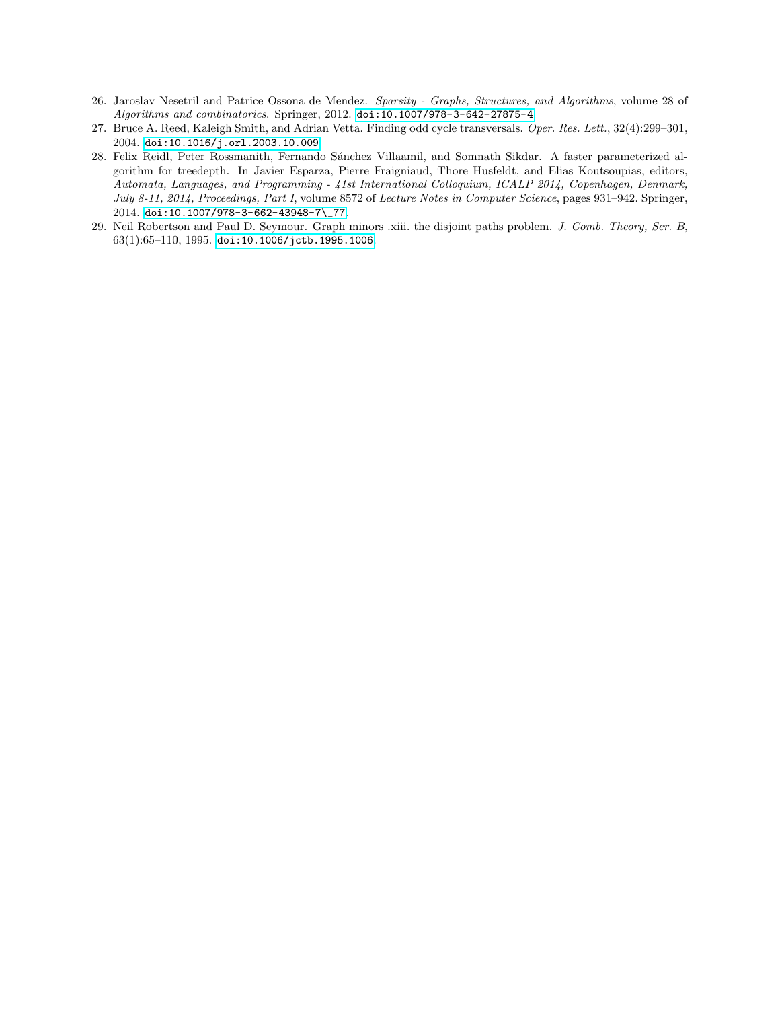- <span id="page-12-0"></span>26. Jaroslav Nesetril and Patrice Ossona de Mendez. Sparsity - Graphs, Structures, and Algorithms, volume 28 of Algorithms and combinatorics. Springer, 2012. [doi:10.1007/978-3-642-27875-4](https://doi.org/10.1007/978-3-642-27875-4).
- <span id="page-12-2"></span>27. Bruce A. Reed, Kaleigh Smith, and Adrian Vetta. Finding odd cycle transversals. Oper. Res. Lett., 32(4):299–301, 2004. [doi:10.1016/j.orl.2003.10.009](https://doi.org/10.1016/j.orl.2003.10.009).
- <span id="page-12-3"></span>28. Felix Reidl, Peter Rossmanith, Fernando Sánchez Villaamil, and Somnath Sikdar. A faster parameterized algorithm for treedepth. In Javier Esparza, Pierre Fraigniaud, Thore Husfeldt, and Elias Koutsoupias, editors, Automata, Languages, and Programming - 41st International Colloquium, ICALP 2014, Copenhagen, Denmark, July 8-11, 2014, Proceedings, Part I, volume 8572 of Lecture Notes in Computer Science, pages 931–942. Springer, 2014. [doi:10.1007/978-3-662-43948-7\\\_77](https://doi.org/10.1007/978-3-662-43948-7_77).
- <span id="page-12-1"></span>29. Neil Robertson and Paul D. Seymour. Graph minors .xiii. the disjoint paths problem. J. Comb. Theory, Ser. B, 63(1):65–110, 1995. [doi:10.1006/jctb.1995.1006](https://doi.org/10.1006/jctb.1995.1006).